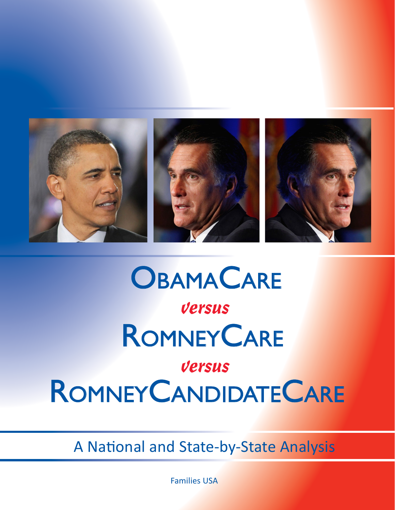

# **ROMNEY CARE** RomneyCandidateCare **OBAMACARE** versus versus

A National and State-by-State Analysis

Families USA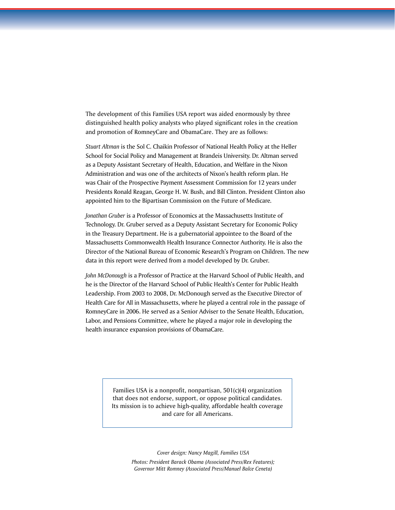The development of this Families USA report was aided enormously by three distinguished health policy analysts who played significant roles in the creation and promotion of RomneyCare and ObamaCare. They are as follows:

*Stuart Altman* is the Sol C. Chaikin Professor of National Health Policy at the Heller School for Social Policy and Management at Brandeis University. Dr. Altman served as a Deputy Assistant Secretary of Health, Education, and Welfare in the Nixon Administration and was one of the architects of Nixon's health reform plan. He was Chair of the Prospective Payment Assessment Commission for 12 years under Presidents Ronald Reagan, George H. W. Bush, and Bill Clinton. President Clinton also appointed him to the Bipartisan Commission on the Future of Medicare*.* 

*Jonathan Gruber* is a Professor of Economics at the Massachusetts Institute of Technology. Dr. Gruber served as a Deputy Assistant Secretary for Economic Policy in the Treasury Department. He is a gubernatorial appointee to the Board of the Massachusetts Commonwealth Health Insurance Connector Authority. He is also the Director of the National Bureau of Economic Research's Program on Children. The new data in this report were derived from a model developed by Dr. Gruber*.* 

*John McDonough* is a Professor of Practice at the Harvard School of Public Health, and he is the Director of the Harvard School of Public Health's Center for Public Health Leadership. From 2003 to 2008, Dr. McDonough served as the Executive Director of Health Care for All in Massachusetts, where he played a central role in the passage of RomneyCare in 2006. He served as a Senior Adviser to the Senate Health, Education, Labor, and Pensions Committee, where he played a major role in developing the health insurance expansion provisions of ObamaCare*.* 

> Families USA is a nonprofit, nonpartisan, 501(c)(4) organization that does not endorse, support, or oppose political candidates. Its mission is to achieve high-quality, affordable health coverage and care for all Americans.

> > *Cover design: Nancy Magill, Families USA Photos: President Barack Obama (Associated Press/Rex Features); Governor Mitt Romney (Associated Press/Manuel Balce Ceneta)*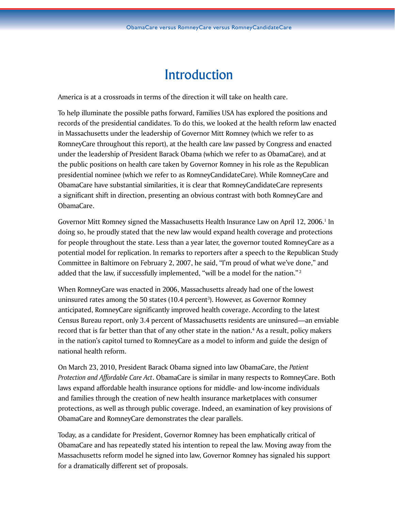# Introduction

America is at a crossroads in terms of the direction it will take on health care.

To help illuminate the possible paths forward, Families USA has explored the positions and records of the presidential candidates. To do this, we looked at the health reform law enacted in Massachusetts under the leadership of Governor Mitt Romney (which we refer to as RomneyCare throughout this report), at the health care law passed by Congress and enacted under the leadership of President Barack Obama (which we refer to as ObamaCare), and at the public positions on health care taken by Governor Romney in his role as the Republican presidential nominee (which we refer to as RomneyCandidateCare). While RomneyCare and ObamaCare have substantial similarities, it is clear that RomneyCandidateCare represents a significant shift in direction, presenting an obvious contrast with both RomneyCare and ObamaCare.

Governor Mitt Romney signed the Massachusetts Health Insurance Law on April 12, 2006.<sup>1</sup> In doing so, he proudly stated that the new law would expand health coverage and protections for people throughout the state. Less than a year later, the governor touted RomneyCare as a potential model for replication. In remarks to reporters after a speech to the Republican Study Committee in Baltimore on February 2, 2007, he said, "I'm proud of what we've done," and added that the law, if successfully implemented, "will be a model for the nation."<sup>2</sup>

When RomneyCare was enacted in 2006, Massachusetts already had one of the lowest uninsured rates among the 50 states (10.4 percent<sup>3</sup>). However, as Governor Romney anticipated, RomneyCare significantly improved health coverage. According to the latest Census Bureau report, only 3.4 percent of Massachusetts residents are uninsured—an enviable record that is far better than that of any other state in the nation.<sup>4</sup> As a result, policy makers in the nation's capitol turned to RomneyCare as a model to inform and guide the design of national health reform.

On March 23, 2010, President Barack Obama signed into law ObamaCare, the *Patient Protection and Affordable Care Act*. ObamaCare is similar in many respects to RomneyCare. Both laws expand affordable health insurance options for middle- and low-income individuals and families through the creation of new health insurance marketplaces with consumer protections, as well as through public coverage. Indeed, an examination of key provisions of ObamaCare and RomneyCare demonstrates the clear parallels.

Today, as a candidate for President, Governor Romney has been emphatically critical of ObamaCare and has repeatedly stated his intention to repeal the law. Moving away from the Massachusetts reform model he signed into law, Governor Romney has signaled his support for a dramatically different set of proposals.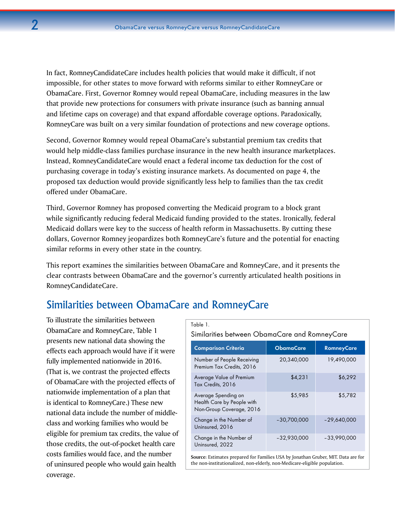In fact, RomneyCandidateCare includes health policies that would make it difficult, if not impossible, for other states to move forward with reforms similar to either RomneyCare or ObamaCare. First, Governor Romney would repeal ObamaCare, including measures in the law that provide new protections for consumers with private insurance (such as banning annual and lifetime caps on coverage) and that expand affordable coverage options. Paradoxically, RomneyCare was built on a very similar foundation of protections and new coverage options.

Second, Governor Romney would repeal ObamaCare's substantial premium tax credits that would help middle-class families purchase insurance in the new health insurance marketplaces. Instead, RomneyCandidateCare would enact a federal income tax deduction for the cost of purchasing coverage in today's existing insurance markets. As documented on page 4, the proposed tax deduction would provide significantly less help to families than the tax credit offered under ObamaCare.

Third, Governor Romney has proposed converting the Medicaid program to a block grant while significantly reducing federal Medicaid funding provided to the states. Ironically, federal Medicaid dollars were key to the success of health reform in Massachusetts. By cutting these dollars, Governor Romney jeopardizes both RomneyCare's future and the potential for enacting similar reforms in every other state in the country.

This report examines the similarities between ObamaCare and RomneyCare, and it presents the clear contrasts between ObamaCare and the governor's currently articulated health positions in RomneyCandidateCare.

# Similarities between ObamaCare and RomneyCare

To illustrate the similarities between ObamaCare and RomneyCare, Table 1 presents new national data showing the effects each approach would have if it were fully implemented nationwide in 2016. (That is, we contrast the projected effects of ObamaCare with the projected effects of nationwide implementation of a plan that is identical to RomneyCare.) These new national data include the number of middleclass and working families who would be eligible for premium tax credits, the value of those credits, the out-of-pocket health care costs families would face, and the number of uninsured people who would gain health coverage.

#### Table 1.

Similarities between ObamaCare and RomneyCare

| <b>Comparison Criteria</b>                                                    | <b>ObamaCare</b> | <b>RomneyCare</b> |
|-------------------------------------------------------------------------------|------------------|-------------------|
| Number of People Receiving<br>Premium Tax Credits, 2016                       | 20,340,000       | 19,490,000        |
| Average Value of Premium<br>Tax Credits, 2016                                 | \$4,231          | \$6,292           |
| Average Spending on<br>Health Care by People with<br>Non-Group Coverage, 2016 | \$5,985          | \$5,782           |
| Change in the Number of<br>Uninsured, 2016                                    | $-30,700,000$    | $-29,640,000$     |
| Change in the Number of<br>Uninsured, 2022                                    | $-32,930,000$    | $-33,990,000$     |
|                                                                               |                  |                   |

**Source**: Estimates prepared for Families USA by Jonathan Gruber, MIT. Data are for the non-institutionalized, non-elderly, non-Medicare-eligible population.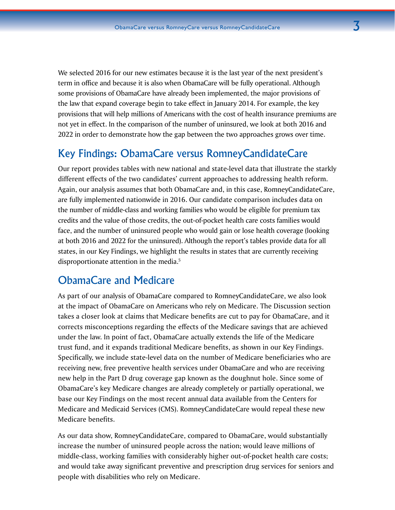We selected 2016 for our new estimates because it is the last year of the next president's term in office and because it is also when ObamaCare will be fully operational. Although some provisions of ObamaCare have already been implemented, the major provisions of the law that expand coverage begin to take effect in January 2014. For example, the key provisions that will help millions of Americans with the cost of health insurance premiums are not yet in effect. In the comparison of the number of uninsured, we look at both 2016 and 2022 in order to demonstrate how the gap between the two approaches grows over time.

# Key Findings: ObamaCare versus RomneyCandidateCare

Our report provides tables with new national and state-level data that illustrate the starkly different effects of the two candidates' current approaches to addressing health reform. Again, our analysis assumes that both ObamaCare and, in this case, RomneyCandidateCare, are fully implemented nationwide in 2016. Our candidate comparison includes data on the number of middle-class and working families who would be eligible for premium tax credits and the value of those credits, the out-of-pocket health care costs families would face, and the number of uninsured people who would gain or lose health coverage (looking at both 2016 and 2022 for the uninsured). Although the report's tables provide data for all states, in our Key Findings, we highlight the results in states that are currently receiving disproportionate attention in the media.5

# ObamaCare and Medicare

As part of our analysis of ObamaCare compared to RomneyCandidateCare, we also look at the impact of ObamaCare on Americans who rely on Medicare. The Discussion section takes a closer look at claims that Medicare benefits are cut to pay for ObamaCare, and it corrects misconceptions regarding the effects of the Medicare savings that are achieved under the law. In point of fact, ObamaCare actually extends the life of the Medicare trust fund, and it expands traditional Medicare benefits, as shown in our Key Findings. Specifically, we include state-level data on the number of Medicare beneficiaries who are receiving new, free preventive health services under ObamaCare and who are receiving new help in the Part D drug coverage gap known as the doughnut hole. Since some of ObamaCare's key Medicare changes are already completely or partially operational, we base our Key Findings on the most recent annual data available from the Centers for Medicare and Medicaid Services (CMS). RomneyCandidateCare would repeal these new Medicare benefits.

As our data show, RomneyCandidateCare, compared to ObamaCare, would substantially increase the number of uninsured people across the nation; would leave millions of middle-class, working families with considerably higher out-of-pocket health care costs; and would take away significant preventive and prescription drug services for seniors and people with disabilities who rely on Medicare.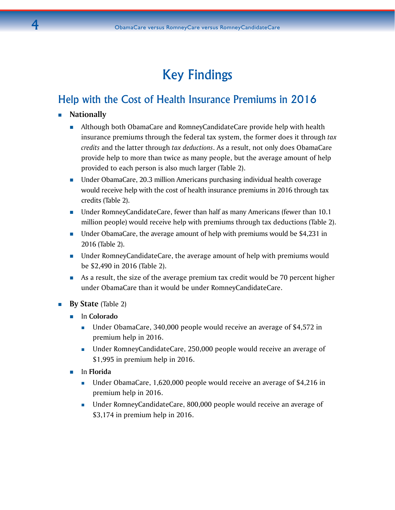# Key Findings

# Help with the Cost of Health Insurance Premiums in 2016

- **Nationally**
	- Although both ObamaCare and RomneyCandidateCare provide help with health insurance premiums through the federal tax system, the former does it through *tax credits* and the latter through *tax deductions*. As a result, not only does ObamaCare provide help to more than twice as many people, but the average amount of help provided to each person is also much larger (Table 2).
	- Under ObamaCare, 20.3 million Americans purchasing individual health coverage would receive help with the cost of health insurance premiums in 2016 through tax credits (Table 2).
	- Under RomneyCandidateCare, fewer than half as many Americans (fewer than 10.1 million people) would receive help with premiums through tax deductions (Table 2).
	- Under ObamaCare, the average amount of help with premiums would be \$4,231 in 2016 (Table 2).
	- Under RomneyCandidateCare, the average amount of help with premiums would be \$2,490 in 2016 (Table 2).
	- As a result, the size of the average premium tax credit would be 70 percent higher under ObamaCare than it would be under RomneyCandidateCare.
- **By State** (Table 2)
	- In **Colorado**
		- Under ObamaCare, 340,000 people would receive an average of \$4,572 in premium help in 2016.
		- Under RomneyCandidateCare, 250,000 people would receive an average of \$1,995 in premium help in 2016.
	- In **Florida**
		- Under ObamaCare, 1,620,000 people would receive an average of \$4,216 in premium help in 2016.
		- Under RomneyCandidateCare, 800,000 people would receive an average of \$3,174 in premium help in 2016.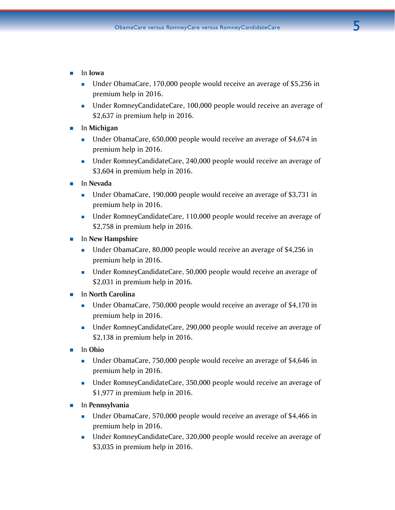- In **Iowa**
	- Under ObamaCare, 170,000 people would receive an average of \$5,256 in premium help in 2016.
	- **Under RomneyCandidateCare, 100,000 people would receive an average of** \$2,637 in premium help in 2016.
- In **Michigan**
	- Under ObamaCare, 650,000 people would receive an average of \$4,674 in premium help in 2016.
	- Under RomneyCandidateCare, 240,000 people would receive an average of \$3,604 in premium help in 2016.
- In **Nevada**
	- Under ObamaCare, 190,000 people would receive an average of \$3,731 in premium help in 2016.
	- Under RomneyCandidateCare, 110,000 people would receive an average of \$2,758 in premium help in 2016.
- In **New Hampshire**
	- Under ObamaCare, 80,000 people would receive an average of \$4,256 in premium help in 2016.
	- **Inder RomneyCandidateCare, 50,000 people would receive an average of** \$2,031 in premium help in 2016.
- In **North Carolina**
	- Under ObamaCare, 750,000 people would receive an average of \$4,170 in premium help in 2016.
	- Under RomneyCandidateCare, 290,000 people would receive an average of \$2,138 in premium help in 2016.
- In **Ohio**
	- **Under ObamaCare, 750,000 people would receive an average of \$4,646 in** premium help in 2016.
	- **Under RomneyCandidateCare, 350,000 people would receive an average of** \$1,977 in premium help in 2016.
- In **Pennsylvania**
	- Under ObamaCare, 570,000 people would receive an average of \$4,466 in premium help in 2016.
	- Under RomneyCandidateCare, 320,000 people would receive an average of \$3,035 in premium help in 2016.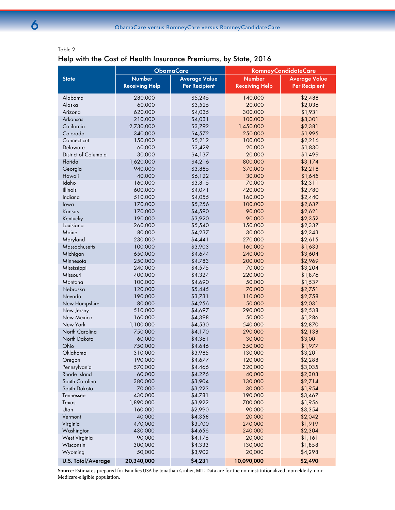# Help with the Cost of Health Insurance Premiums, by State, 2016

|                           | <b>ObamaCare</b>      |                      | <b>RomneyCandidateCare</b> |                      |  |
|---------------------------|-----------------------|----------------------|----------------------------|----------------------|--|
| <b>State</b>              | <b>Number</b>         | <b>Average Value</b> | <b>Number</b>              | <b>Average Value</b> |  |
|                           | <b>Receiving Help</b> | <b>Per Recipient</b> | <b>Receiving Help</b>      | <b>Per Recipient</b> |  |
| Alabama                   | 280,000               | \$5,245              | 140,000                    | \$2,488              |  |
| Alaska                    | 60,000                | \$3,525              | 20,000                     | \$2,036              |  |
| Arizona                   | 620,000               | \$4,035              | 300,000                    | \$1,931              |  |
| Arkansas                  | 210,000               | \$4,031              | 100,000                    | \$3,301              |  |
| California                | 2,730,000             | \$3,792              | 1,450,000                  | \$2,381              |  |
| Colorado                  | 340,000               | \$4,572              | 250,000                    | \$1,995              |  |
| Connecticut               | 150,000               | \$5,212              | 100,000                    | \$2,216              |  |
| Delaware                  | 60,000                | \$3,429              | 20,000                     | \$1,830              |  |
| District of Columbia      | 30,000                | \$4,137              | 20,000                     | \$1,499              |  |
| Florida                   | 1,620,000             | \$4,216              | 800,000                    | \$3,174              |  |
| Georgia                   | 940,000               | \$3,885              | 370,000                    | \$2,218              |  |
| Hawaii                    | 40,000                | \$6,122              | 30,000                     | \$1,645              |  |
| Idaho                     | 160,000               | \$3,815              | 70,000                     | \$2,311              |  |
| <b>Illinois</b>           | 600,000               | \$4,071              | 420,000                    | \$2,780              |  |
| Indiana                   | 510,000               | \$4,055              | 160,000                    | \$2,440              |  |
| lowa                      | 170,000               | \$5,256              | 100,000                    | \$2,637              |  |
| Kansas                    | 170,000               | \$4,590              | 90,000                     | \$2,621              |  |
| Kentucky                  | 190,000               | \$3,920              | 90,000                     | \$2,352              |  |
| Louisiana                 | 260,000               | \$5,540              | 150,000                    | \$2,337              |  |
| Maine                     | 80,000                | \$4,237              | 30,000                     | \$2,343              |  |
| Maryland                  | 230,000               | \$4,44]              | 270,000                    | \$2,615              |  |
| Massachusetts             | 100,000               | \$3,903              | 160,000                    | \$1,633              |  |
| Michigan                  | 650,000               | \$4,674              | 240,000                    | \$3,604              |  |
| Minnesota                 | 250,000               | \$4,783              | 200,000                    | \$2,969              |  |
| Mississippi               | 240,000               | \$4,575              | 70,000                     | \$3,204              |  |
| Missouri                  | 400,000               | \$4,324              | 220,000                    | \$1,876              |  |
| Montana                   | 100,000               | \$4,690              | 50,000                     | \$1,537              |  |
| Nebraska                  | 120,000               | \$5,445              | 70,000                     | \$2,751              |  |
| Nevada                    | 190,000               | \$3,731              | 110,000                    | \$2,758              |  |
| New Hampshire             | 80,000                | \$4,256              | 50,000                     | \$2,031              |  |
| New Jersey                | 510,000               | \$4,697              | 290,000                    | \$2,538              |  |
| New Mexico                | 160,000               | \$4,398              | 50,000                     | \$1,286              |  |
| New York                  | 1,100,000             | \$4,530              | 540,000                    | \$2,870              |  |
| North Carolina            | 750,000               | \$4,170              | 290,000                    | \$2,138              |  |
| North Dakota              | 60,000                | \$4,361              | 30,000                     | \$3,001              |  |
| Ohio                      | 750,000               | \$4,646              | 350,000                    | \$1,977              |  |
| Oklahoma                  | 310,000               | \$3,985              | 130,000                    | \$3,201              |  |
| Oregon                    | 190,000               | \$4,677              | 120,000                    | \$2,288              |  |
| Pennsylvania              | 570,000               | \$4,466              | 320,000                    | \$3,035              |  |
| Rhode Island              | 60,000                | \$4,276              | 40,000                     | \$2,303              |  |
| South Carolina            | 380,000               | \$3,904              | 130,000                    | \$2,714              |  |
| South Dakota              | 70,000                | \$3,223              | 30,000                     | \$1,954              |  |
| Tennessee                 | 430,000               | \$4,781              | 190,000                    | \$3,467              |  |
| Texas                     | 1,890,000             | \$3,922              | 700,000                    | \$1,956              |  |
| Utah                      | 160,000               | \$2,990              | 90,000                     | \$3,354              |  |
| Vermont                   | 40,000                | \$4,358              | 20,000                     | \$2,042              |  |
| Virginia                  | 470,000               | \$3,700              | 240,000                    | \$1,919              |  |
| Washington                | 430,000               | \$4,656              | 240,000                    | \$2,304              |  |
| West Virginia             | 90,000                | \$4,176              | 20,000                     | \$1,161              |  |
| Wisconsin                 | 300,000               | \$4,333              | 130,000                    | \$1,858              |  |
| Wyoming                   | 50,000                | \$3,902              | 20,000                     | \$4,298              |  |
| <b>U.S. Total/Average</b> | 20,340,000            | \$4,231              | 10,090,000                 | \$2,490              |  |

**Source**: Estimates prepared for Families USA by Jonathan Gruber, MIT. Data are for the non-institutionalized, non-elderly, non-Medicare-eligible population.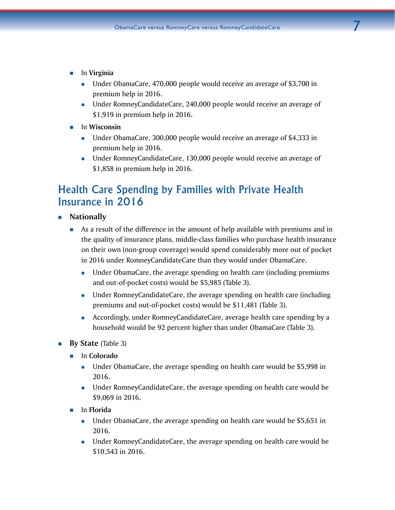- In **Virginia**
	- Under ObamaCare, 470,000 people would receive an average of \$3,700 in premium help in 2016.
	- Under RomneyCandidateCare, 240,000 people would receive an average of \$1,919 in premium help in 2016.
- $\blacksquare$  In Wisconsin
	- Under ObamaCare, 300,000 people would receive an average of \$4,333 in premium help in 2016.
	- **Under RomneyCandidateCare, 130,000 people would receive an average of** \$1,858 in premium help in 2016.

# Health Care Spending by Families with Private Health Insurance in 2016

- **Nationally** 
	- As a result of the difference in the amount of help available with premiums and in the quality of insurance plans, middle-class families who purchase health insurance on their own (non-group coverage) would spend considerably more out of pocket in 2016 under RomneyCandidateCare than they would under ObamaCare.
		- **IDED EXECT** Under ObamaCare, the average spending on health care (including premiums and out-of-pocket costs) would be \$5,985 (Table 3).
		- Under RomneyCandidateCare, the average spending on health care (including premiums and out-of-pocket costs) would be \$11,481 (Table 3).
		- Accordingly, under RomneyCandidateCare, average health care spending by a household would be 92 percent higher than under ObamaCare (Table 3).
- **By State** (Table 3)
	- In **Colorado**
		- Under ObamaCare, the average spending on health care would be \$5,998 in 2016.
		- Under RomneyCandidateCare, the average spending on health care would be \$9,069 in 2016.
	- In **Florida** 
		- Under ObamaCare, the average spending on health care would be \$5,651 in 2016.
		- Under RomneyCandidateCare, the average spending on health care would be \$10,543 in 2016.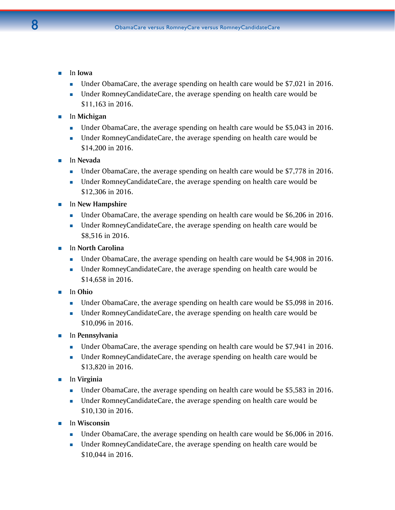- In **Iowa** 
	- Under ObamaCare, the average spending on health care would be \$7,021 in 2016.
	- Under RomneyCandidateCare, the average spending on health care would be \$11,163 in 2016.
- In **Michigan**
	- Under ObamaCare, the average spending on health care would be \$5,043 in 2016.
	- Under RomneyCandidateCare, the average spending on health care would be \$14,200 in 2016.
- In **Nevada** 
	- Under ObamaCare, the average spending on health care would be \$7,778 in 2016.
	- Under RomneyCandidateCare, the average spending on health care would be \$12,306 in 2016.
- **In New Hampshire** 
	- Under ObamaCare, the average spending on health care would be \$6,206 in 2016.
	- Under RomneyCandidateCare, the average spending on health care would be \$8,516 in 2016.
- In **North Carolina**
	- Under ObamaCare, the average spending on health care would be \$4,908 in 2016.
	- Under RomneyCandidateCare, the average spending on health care would be \$14,658 in 2016.
- In **Ohio**
	- Under ObamaCare, the average spending on health care would be \$5,098 in 2016.
	- Under RomneyCandidateCare, the average spending on health care would be \$10,096 in 2016.
- In **Pennsylvania**
	- Under ObamaCare, the average spending on health care would be \$7,941 in 2016.
	- Under RomneyCandidateCare, the average spending on health care would be \$13,820 in 2016.
- In **Virginia** 
	- Under ObamaCare, the average spending on health care would be \$5,583 in 2016.
	- Under RomneyCandidateCare, the average spending on health care would be \$10,130 in 2016.
- In **Wisconsin**
	- Under ObamaCare, the average spending on health care would be \$6,006 in 2016.
	- Under RomneyCandidateCare, the average spending on health care would be \$10,044 in 2016.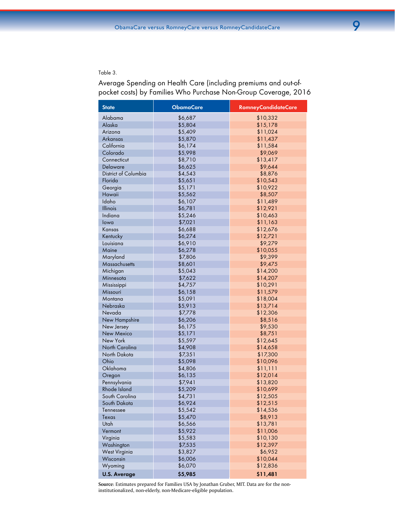### Table 3.

Average Spending on Health Care (including premiums and out-ofpocket costs) by Families Who Purchase Non-Group Coverage, 2016

| <b>State</b>         | <b>ObamaCare</b> | <b>RomneyCandidateCare</b> |
|----------------------|------------------|----------------------------|
| Alabama              | \$6,687          | \$10,332                   |
| Alaska               | \$5,804          | \$15,178                   |
| Arizona              | \$5,409          | \$11,024                   |
| Arkansas             | \$5,870          | \$11,437                   |
| California           | \$6,174          | \$11,584                   |
| Colorado             | \$5,998          | \$9,069                    |
| Connecticut          | \$8,710          | \$13,417                   |
| Delaware             | \$6,625          | \$9,644                    |
| District of Columbia | \$4,543          | \$8,876                    |
| Florida              | \$5,651          | \$10,543                   |
| Georgia              | \$5,171          | \$10,922                   |
| Hawaii               | \$5,562          | \$8,507                    |
| Idaho                | \$6,107          | \$11,489                   |
| Illinois             | \$6,781          | \$12,921                   |
| Indiana              | \$5,246          | \$10,463                   |
| lowa                 | \$7,021          | \$11,163                   |
| Kansas               | \$6,688          | \$12,676                   |
| Kentucky             | \$6,274          | \$12,721                   |
| Louisiana            | \$6,910          | \$9,279                    |
| Maine                | \$6,278          | \$10,055                   |
| Maryland             | \$7,806          | \$9,399                    |
| Massachusetts        | \$8,601          | \$9,475                    |
| Michigan             | \$5,043          | \$14,200                   |
| Minnesota            | \$7,622          | \$14,207                   |
| Mississippi          | \$4,757          | \$10,291                   |
| Missouri             | \$6,158          | \$11,579                   |
| Montana              | \$5,091          | \$18,004                   |
| Nebraska             | \$5,913          | \$13,714                   |
| Nevada               | \$7,778          | \$12,306                   |
| New Hampshire        | \$6,206          | \$8,516                    |
| New Jersey           | \$6,175          | \$9,530                    |
| New Mexico           | \$5,171          | \$8,751                    |
| New York             | \$5,597          | \$12,645                   |
| North Carolina       | \$4,908          | \$14,658                   |
| North Dakota         | \$7,351          | \$17,300                   |
| Ohio                 | \$5,098          | \$10,096                   |
| Oklahoma             | \$4,806          | \$11,111                   |
| Oregon               | \$6,135          | \$12,014                   |
| Pennsylvania         | \$7,941          | \$13,820                   |
| Rhode Island         | \$5,209          | \$10,699                   |
| South Carolina       | \$4,731          | \$12,505                   |
| South Dakota         | \$6,924          | \$12,515                   |
| Tennessee            | \$5,542          | \$14,536                   |
| Texas                | \$5,470          | \$8,913                    |
| Utah                 | \$6,566          | \$13,781                   |
| Vermont              | \$5,922          | \$11,006                   |
| Virginia             | \$5,583          | \$10,130                   |
| Washington           | \$7,535          | \$12,397                   |
| <b>West Virginia</b> | \$3,827          | \$6,952                    |
| Wisconsin            | \$6,006          | \$10,044                   |
| Wyoming              | \$6,070          | \$12,836                   |
| <b>U.S. Average</b>  | \$5,985          | \$11,481                   |

**Source**: Estimates prepared for Families USA by Jonathan Gruber, MIT. Data are for the noninstitutionalized, non-elderly, non-Medicare-eligible population.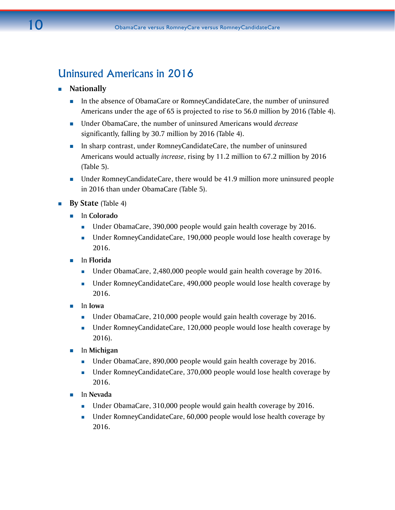# Uninsured Americans in 2016

# **Nationally**

- **In the absence of ObamaCare or RomneyCandidateCare, the number of uninsured** Americans under the age of 65 is projected to rise to 56.0 million by 2016 (Table 4).
- Under ObamaCare, the number of uninsured Americans would *decrease* significantly, falling by 30.7 million by 2016 (Table 4).
- **In sharp contrast, under RomneyCandidateCare, the number of uninsured** Americans would actually *increase*, rising by 11.2 million to 67.2 million by 2016 (Table 5).
- Under RomneyCandidateCare, there would be 41.9 million more uninsured people in 2016 than under ObamaCare (Table 5).
- **By State** (Table 4)
	- In **Colorado**
		- **Under ObamaCare, 390,000 people would gain health coverage by 2016.**
		- Under RomneyCandidateCare, 190,000 people would lose health coverage by 2016.
	- In **Florida**
		- **Under ObamaCare, 2,480,000 people would gain health coverage by 2016.**
		- Under RomneyCandidateCare, 490,000 people would lose health coverage by 2016.
	- In **Iowa**
		- Under ObamaCare, 210,000 people would gain health coverage by 2016.
		- Under RomneyCandidateCare, 120,000 people would lose health coverage by 2016).
	- In **Michigan**
		- **Under ObamaCare, 890,000 people would gain health coverage by 2016.**
		- Under RomneyCandidateCare, 370,000 people would lose health coverage by 2016.
	- In **Nevada**
		- **Under ObamaCare, 310,000 people would gain health coverage by 2016.**
		- Under RomneyCandidateCare, 60,000 people would lose health coverage by 2016.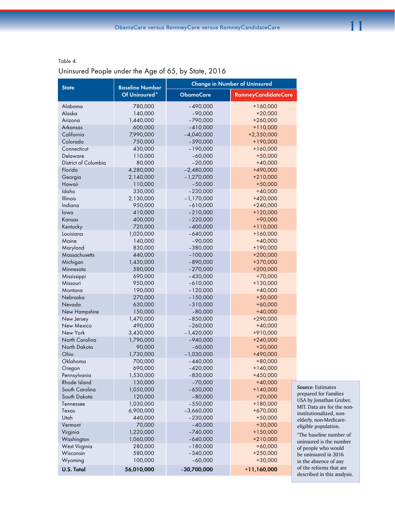Table 4.

# Uninsured People under the Age of 65, by State, 2016

| <b>Baseline Number</b><br><b>State</b><br>Of Uninsured*<br><b>ObamaCare</b><br><b>RomneyCandidateCare</b><br>Alabama<br>780,000<br>$-490,000$<br>$+160,000$<br>Alaska<br>140,000<br>$-90,000$<br>$+20,000$<br>1,440,000<br>$-790,000$<br>Arizona<br>$+260,000$<br>600,000<br>Arkansas<br>$-410,000$<br>$+110,000$<br>California<br>7,990,000<br>$-4,040,000$<br>$+2,350,000$<br>Colorado<br>750,000<br>$-390,000$<br>+190,000<br>430,000<br>$-190,000$<br>$+160,000$<br>Connecticut<br>Delaware<br>110,000<br>$-60,000$<br>$+50,000$<br>$-20,000$<br>District of Columbia<br>80,000<br>$+40,000$<br>Florida<br>4,280,000<br>$-2,480,000$<br>+490,000<br>$-1,270,000$<br>Georgia<br>2,140,000<br>$+210,000$<br>$-50,000$<br>Hawaii<br>110,000<br>$+50,000$<br>330,000<br>$-230,000$<br>Idaho<br>$+40,000$<br>2,130,000<br>$-1,170,000$<br>Illinois<br>$+420,000$<br>950,000<br>Indiana<br>$-610,000$<br>$+240,000$<br>410,000<br>$-210,000$<br>$+120,000$<br>lowa<br>400,000<br>$-220,000$<br>+90,000<br>Kansas<br>720,000<br>$-400,000$<br>$+110,000$<br>Kentucky<br>1,020,000<br>$-640,000$<br>$+160,000$<br>Louisiana<br>Maine<br>140,000<br>$-90,000$<br>$+40,000$<br>830,000<br>$-380,000$<br>$+190,000$<br>Maryland<br>Massachusetts<br>440,000<br>$-100,000$<br>$+200,000$<br>$-890,000$<br>+370,000<br>Michigan<br>1,430,000<br>$+200,000$<br>580,000<br>$-270,000$<br>Minnesota<br>690,000<br>$-430,000$<br>$+70,000$<br>Mississippi<br>950,000<br>$-610,000$<br>$+130,000$<br>Missouri<br>190,000<br>Montana<br>$-120,000$<br>$+40,000$<br>270,000<br>$-150,000$<br>$+50,000$<br>Nebraska<br>630,000<br>$-310,000$<br>$+60,000$<br>Nevada<br>New Hampshire<br>150,000<br>$-80,000$<br>$+40,000$<br>1,470,000<br>$-850,000$<br>+290,000<br>New Jersey<br>490,000<br>$-260,000$<br>$+40,000$<br>New Mexico<br>New York<br>3,430,000<br>$-1,420,000$<br>+910,000<br>North Carolina<br>1,790,000<br>$-940,000$<br>$+240,000$<br>North Dakota<br>90,000<br>$-60,000$<br>$+20,000$ |
|---------------------------------------------------------------------------------------------------------------------------------------------------------------------------------------------------------------------------------------------------------------------------------------------------------------------------------------------------------------------------------------------------------------------------------------------------------------------------------------------------------------------------------------------------------------------------------------------------------------------------------------------------------------------------------------------------------------------------------------------------------------------------------------------------------------------------------------------------------------------------------------------------------------------------------------------------------------------------------------------------------------------------------------------------------------------------------------------------------------------------------------------------------------------------------------------------------------------------------------------------------------------------------------------------------------------------------------------------------------------------------------------------------------------------------------------------------------------------------------------------------------------------------------------------------------------------------------------------------------------------------------------------------------------------------------------------------------------------------------------------------------------------------------------------------------------------------------------------------------------------------------------------------------------------------------------------------------------------------------|
|                                                                                                                                                                                                                                                                                                                                                                                                                                                                                                                                                                                                                                                                                                                                                                                                                                                                                                                                                                                                                                                                                                                                                                                                                                                                                                                                                                                                                                                                                                                                                                                                                                                                                                                                                                                                                                                                                                                                                                                       |
|                                                                                                                                                                                                                                                                                                                                                                                                                                                                                                                                                                                                                                                                                                                                                                                                                                                                                                                                                                                                                                                                                                                                                                                                                                                                                                                                                                                                                                                                                                                                                                                                                                                                                                                                                                                                                                                                                                                                                                                       |
|                                                                                                                                                                                                                                                                                                                                                                                                                                                                                                                                                                                                                                                                                                                                                                                                                                                                                                                                                                                                                                                                                                                                                                                                                                                                                                                                                                                                                                                                                                                                                                                                                                                                                                                                                                                                                                                                                                                                                                                       |
|                                                                                                                                                                                                                                                                                                                                                                                                                                                                                                                                                                                                                                                                                                                                                                                                                                                                                                                                                                                                                                                                                                                                                                                                                                                                                                                                                                                                                                                                                                                                                                                                                                                                                                                                                                                                                                                                                                                                                                                       |
|                                                                                                                                                                                                                                                                                                                                                                                                                                                                                                                                                                                                                                                                                                                                                                                                                                                                                                                                                                                                                                                                                                                                                                                                                                                                                                                                                                                                                                                                                                                                                                                                                                                                                                                                                                                                                                                                                                                                                                                       |
|                                                                                                                                                                                                                                                                                                                                                                                                                                                                                                                                                                                                                                                                                                                                                                                                                                                                                                                                                                                                                                                                                                                                                                                                                                                                                                                                                                                                                                                                                                                                                                                                                                                                                                                                                                                                                                                                                                                                                                                       |
|                                                                                                                                                                                                                                                                                                                                                                                                                                                                                                                                                                                                                                                                                                                                                                                                                                                                                                                                                                                                                                                                                                                                                                                                                                                                                                                                                                                                                                                                                                                                                                                                                                                                                                                                                                                                                                                                                                                                                                                       |
|                                                                                                                                                                                                                                                                                                                                                                                                                                                                                                                                                                                                                                                                                                                                                                                                                                                                                                                                                                                                                                                                                                                                                                                                                                                                                                                                                                                                                                                                                                                                                                                                                                                                                                                                                                                                                                                                                                                                                                                       |
|                                                                                                                                                                                                                                                                                                                                                                                                                                                                                                                                                                                                                                                                                                                                                                                                                                                                                                                                                                                                                                                                                                                                                                                                                                                                                                                                                                                                                                                                                                                                                                                                                                                                                                                                                                                                                                                                                                                                                                                       |
|                                                                                                                                                                                                                                                                                                                                                                                                                                                                                                                                                                                                                                                                                                                                                                                                                                                                                                                                                                                                                                                                                                                                                                                                                                                                                                                                                                                                                                                                                                                                                                                                                                                                                                                                                                                                                                                                                                                                                                                       |
|                                                                                                                                                                                                                                                                                                                                                                                                                                                                                                                                                                                                                                                                                                                                                                                                                                                                                                                                                                                                                                                                                                                                                                                                                                                                                                                                                                                                                                                                                                                                                                                                                                                                                                                                                                                                                                                                                                                                                                                       |
|                                                                                                                                                                                                                                                                                                                                                                                                                                                                                                                                                                                                                                                                                                                                                                                                                                                                                                                                                                                                                                                                                                                                                                                                                                                                                                                                                                                                                                                                                                                                                                                                                                                                                                                                                                                                                                                                                                                                                                                       |
|                                                                                                                                                                                                                                                                                                                                                                                                                                                                                                                                                                                                                                                                                                                                                                                                                                                                                                                                                                                                                                                                                                                                                                                                                                                                                                                                                                                                                                                                                                                                                                                                                                                                                                                                                                                                                                                                                                                                                                                       |
|                                                                                                                                                                                                                                                                                                                                                                                                                                                                                                                                                                                                                                                                                                                                                                                                                                                                                                                                                                                                                                                                                                                                                                                                                                                                                                                                                                                                                                                                                                                                                                                                                                                                                                                                                                                                                                                                                                                                                                                       |
|                                                                                                                                                                                                                                                                                                                                                                                                                                                                                                                                                                                                                                                                                                                                                                                                                                                                                                                                                                                                                                                                                                                                                                                                                                                                                                                                                                                                                                                                                                                                                                                                                                                                                                                                                                                                                                                                                                                                                                                       |
|                                                                                                                                                                                                                                                                                                                                                                                                                                                                                                                                                                                                                                                                                                                                                                                                                                                                                                                                                                                                                                                                                                                                                                                                                                                                                                                                                                                                                                                                                                                                                                                                                                                                                                                                                                                                                                                                                                                                                                                       |
|                                                                                                                                                                                                                                                                                                                                                                                                                                                                                                                                                                                                                                                                                                                                                                                                                                                                                                                                                                                                                                                                                                                                                                                                                                                                                                                                                                                                                                                                                                                                                                                                                                                                                                                                                                                                                                                                                                                                                                                       |
|                                                                                                                                                                                                                                                                                                                                                                                                                                                                                                                                                                                                                                                                                                                                                                                                                                                                                                                                                                                                                                                                                                                                                                                                                                                                                                                                                                                                                                                                                                                                                                                                                                                                                                                                                                                                                                                                                                                                                                                       |
|                                                                                                                                                                                                                                                                                                                                                                                                                                                                                                                                                                                                                                                                                                                                                                                                                                                                                                                                                                                                                                                                                                                                                                                                                                                                                                                                                                                                                                                                                                                                                                                                                                                                                                                                                                                                                                                                                                                                                                                       |
|                                                                                                                                                                                                                                                                                                                                                                                                                                                                                                                                                                                                                                                                                                                                                                                                                                                                                                                                                                                                                                                                                                                                                                                                                                                                                                                                                                                                                                                                                                                                                                                                                                                                                                                                                                                                                                                                                                                                                                                       |
|                                                                                                                                                                                                                                                                                                                                                                                                                                                                                                                                                                                                                                                                                                                                                                                                                                                                                                                                                                                                                                                                                                                                                                                                                                                                                                                                                                                                                                                                                                                                                                                                                                                                                                                                                                                                                                                                                                                                                                                       |
|                                                                                                                                                                                                                                                                                                                                                                                                                                                                                                                                                                                                                                                                                                                                                                                                                                                                                                                                                                                                                                                                                                                                                                                                                                                                                                                                                                                                                                                                                                                                                                                                                                                                                                                                                                                                                                                                                                                                                                                       |
|                                                                                                                                                                                                                                                                                                                                                                                                                                                                                                                                                                                                                                                                                                                                                                                                                                                                                                                                                                                                                                                                                                                                                                                                                                                                                                                                                                                                                                                                                                                                                                                                                                                                                                                                                                                                                                                                                                                                                                                       |
|                                                                                                                                                                                                                                                                                                                                                                                                                                                                                                                                                                                                                                                                                                                                                                                                                                                                                                                                                                                                                                                                                                                                                                                                                                                                                                                                                                                                                                                                                                                                                                                                                                                                                                                                                                                                                                                                                                                                                                                       |
|                                                                                                                                                                                                                                                                                                                                                                                                                                                                                                                                                                                                                                                                                                                                                                                                                                                                                                                                                                                                                                                                                                                                                                                                                                                                                                                                                                                                                                                                                                                                                                                                                                                                                                                                                                                                                                                                                                                                                                                       |
|                                                                                                                                                                                                                                                                                                                                                                                                                                                                                                                                                                                                                                                                                                                                                                                                                                                                                                                                                                                                                                                                                                                                                                                                                                                                                                                                                                                                                                                                                                                                                                                                                                                                                                                                                                                                                                                                                                                                                                                       |
|                                                                                                                                                                                                                                                                                                                                                                                                                                                                                                                                                                                                                                                                                                                                                                                                                                                                                                                                                                                                                                                                                                                                                                                                                                                                                                                                                                                                                                                                                                                                                                                                                                                                                                                                                                                                                                                                                                                                                                                       |
|                                                                                                                                                                                                                                                                                                                                                                                                                                                                                                                                                                                                                                                                                                                                                                                                                                                                                                                                                                                                                                                                                                                                                                                                                                                                                                                                                                                                                                                                                                                                                                                                                                                                                                                                                                                                                                                                                                                                                                                       |
|                                                                                                                                                                                                                                                                                                                                                                                                                                                                                                                                                                                                                                                                                                                                                                                                                                                                                                                                                                                                                                                                                                                                                                                                                                                                                                                                                                                                                                                                                                                                                                                                                                                                                                                                                                                                                                                                                                                                                                                       |
|                                                                                                                                                                                                                                                                                                                                                                                                                                                                                                                                                                                                                                                                                                                                                                                                                                                                                                                                                                                                                                                                                                                                                                                                                                                                                                                                                                                                                                                                                                                                                                                                                                                                                                                                                                                                                                                                                                                                                                                       |
|                                                                                                                                                                                                                                                                                                                                                                                                                                                                                                                                                                                                                                                                                                                                                                                                                                                                                                                                                                                                                                                                                                                                                                                                                                                                                                                                                                                                                                                                                                                                                                                                                                                                                                                                                                                                                                                                                                                                                                                       |
|                                                                                                                                                                                                                                                                                                                                                                                                                                                                                                                                                                                                                                                                                                                                                                                                                                                                                                                                                                                                                                                                                                                                                                                                                                                                                                                                                                                                                                                                                                                                                                                                                                                                                                                                                                                                                                                                                                                                                                                       |
|                                                                                                                                                                                                                                                                                                                                                                                                                                                                                                                                                                                                                                                                                                                                                                                                                                                                                                                                                                                                                                                                                                                                                                                                                                                                                                                                                                                                                                                                                                                                                                                                                                                                                                                                                                                                                                                                                                                                                                                       |
|                                                                                                                                                                                                                                                                                                                                                                                                                                                                                                                                                                                                                                                                                                                                                                                                                                                                                                                                                                                                                                                                                                                                                                                                                                                                                                                                                                                                                                                                                                                                                                                                                                                                                                                                                                                                                                                                                                                                                                                       |
|                                                                                                                                                                                                                                                                                                                                                                                                                                                                                                                                                                                                                                                                                                                                                                                                                                                                                                                                                                                                                                                                                                                                                                                                                                                                                                                                                                                                                                                                                                                                                                                                                                                                                                                                                                                                                                                                                                                                                                                       |
| Ohio<br>1,730,000<br>+490,000<br>$-1,030,000$                                                                                                                                                                                                                                                                                                                                                                                                                                                                                                                                                                                                                                                                                                                                                                                                                                                                                                                                                                                                                                                                                                                                                                                                                                                                                                                                                                                                                                                                                                                                                                                                                                                                                                                                                                                                                                                                                                                                         |
| Oklahoma<br>700,000<br>$-440,000$<br>$+80,000$                                                                                                                                                                                                                                                                                                                                                                                                                                                                                                                                                                                                                                                                                                                                                                                                                                                                                                                                                                                                                                                                                                                                                                                                                                                                                                                                                                                                                                                                                                                                                                                                                                                                                                                                                                                                                                                                                                                                        |
| 690,000<br>$-420,000$<br>$+140,000$<br>Oregon                                                                                                                                                                                                                                                                                                                                                                                                                                                                                                                                                                                                                                                                                                                                                                                                                                                                                                                                                                                                                                                                                                                                                                                                                                                                                                                                                                                                                                                                                                                                                                                                                                                                                                                                                                                                                                                                                                                                         |
| 1,530,000<br>$-830,000$<br>$+450,000$<br>Pennsylvania                                                                                                                                                                                                                                                                                                                                                                                                                                                                                                                                                                                                                                                                                                                                                                                                                                                                                                                                                                                                                                                                                                                                                                                                                                                                                                                                                                                                                                                                                                                                                                                                                                                                                                                                                                                                                                                                                                                                 |
| 130,000<br>$-70,000$<br>Rhode Island<br>$+40,000$                                                                                                                                                                                                                                                                                                                                                                                                                                                                                                                                                                                                                                                                                                                                                                                                                                                                                                                                                                                                                                                                                                                                                                                                                                                                                                                                                                                                                                                                                                                                                                                                                                                                                                                                                                                                                                                                                                                                     |
| $-650,000$<br>$+140,000$<br>South Carolina<br>1,050,000                                                                                                                                                                                                                                                                                                                                                                                                                                                                                                                                                                                                                                                                                                                                                                                                                                                                                                                                                                                                                                                                                                                                                                                                                                                                                                                                                                                                                                                                                                                                                                                                                                                                                                                                                                                                                                                                                                                               |
| 120,000<br>$-80,000$<br>South Dakota<br>$+20,000$                                                                                                                                                                                                                                                                                                                                                                                                                                                                                                                                                                                                                                                                                                                                                                                                                                                                                                                                                                                                                                                                                                                                                                                                                                                                                                                                                                                                                                                                                                                                                                                                                                                                                                                                                                                                                                                                                                                                     |
| 1,030,000<br>$-550,000$<br>$+180,000$<br>Tennessee                                                                                                                                                                                                                                                                                                                                                                                                                                                                                                                                                                                                                                                                                                                                                                                                                                                                                                                                                                                                                                                                                                                                                                                                                                                                                                                                                                                                                                                                                                                                                                                                                                                                                                                                                                                                                                                                                                                                    |
| 6,900,000<br>$-3,660,000$<br>+670,000<br>Texas                                                                                                                                                                                                                                                                                                                                                                                                                                                                                                                                                                                                                                                                                                                                                                                                                                                                                                                                                                                                                                                                                                                                                                                                                                                                                                                                                                                                                                                                                                                                                                                                                                                                                                                                                                                                                                                                                                                                        |
| institutionalized, non-<br>440,000<br>Utah<br>$-230,000$<br>$+50,000$                                                                                                                                                                                                                                                                                                                                                                                                                                                                                                                                                                                                                                                                                                                                                                                                                                                                                                                                                                                                                                                                                                                                                                                                                                                                                                                                                                                                                                                                                                                                                                                                                                                                                                                                                                                                                                                                                                                 |
| 70,000<br>$-40,000$<br>$+30,000$<br>Vermont                                                                                                                                                                                                                                                                                                                                                                                                                                                                                                                                                                                                                                                                                                                                                                                                                                                                                                                                                                                                                                                                                                                                                                                                                                                                                                                                                                                                                                                                                                                                                                                                                                                                                                                                                                                                                                                                                                                                           |
| Virginia<br>1,220,000<br>$-740,000$<br>$+150,000$                                                                                                                                                                                                                                                                                                                                                                                                                                                                                                                                                                                                                                                                                                                                                                                                                                                                                                                                                                                                                                                                                                                                                                                                                                                                                                                                                                                                                                                                                                                                                                                                                                                                                                                                                                                                                                                                                                                                     |
| 1,060,000<br>$-640,000$<br>$+210,000$<br>Washington                                                                                                                                                                                                                                                                                                                                                                                                                                                                                                                                                                                                                                                                                                                                                                                                                                                                                                                                                                                                                                                                                                                                                                                                                                                                                                                                                                                                                                                                                                                                                                                                                                                                                                                                                                                                                                                                                                                                   |
| 280,000<br>$-180,000$<br>$+60,000$<br>West Virginia                                                                                                                                                                                                                                                                                                                                                                                                                                                                                                                                                                                                                                                                                                                                                                                                                                                                                                                                                                                                                                                                                                                                                                                                                                                                                                                                                                                                                                                                                                                                                                                                                                                                                                                                                                                                                                                                                                                                   |
| 580,000<br>$+250,000$<br>Wisconsin<br>$-340,000$                                                                                                                                                                                                                                                                                                                                                                                                                                                                                                                                                                                                                                                                                                                                                                                                                                                                                                                                                                                                                                                                                                                                                                                                                                                                                                                                                                                                                                                                                                                                                                                                                                                                                                                                                                                                                                                                                                                                      |
| 100,000<br>$-60,000$<br>$+30,000$<br>Wyoming                                                                                                                                                                                                                                                                                                                                                                                                                                                                                                                                                                                                                                                                                                                                                                                                                                                                                                                                                                                                                                                                                                                                                                                                                                                                                                                                                                                                                                                                                                                                                                                                                                                                                                                                                                                                                                                                                                                                          |
| <b>U.S. Total</b><br>56,010,000<br>$-30,700,000$<br>$+11,160,000$                                                                                                                                                                                                                                                                                                                                                                                                                                                                                                                                                                                                                                                                                                                                                                                                                                                                                                                                                                                                                                                                                                                                                                                                                                                                                                                                                                                                                                                                                                                                                                                                                                                                                                                                                                                                                                                                                                                     |
|                                                                                                                                                                                                                                                                                                                                                                                                                                                                                                                                                                                                                                                                                                                                                                                                                                                                                                                                                                                                                                                                                                                                                                                                                                                                                                                                                                                                                                                                                                                                                                                                                                                                                                                                                                                                                                                                                                                                                                                       |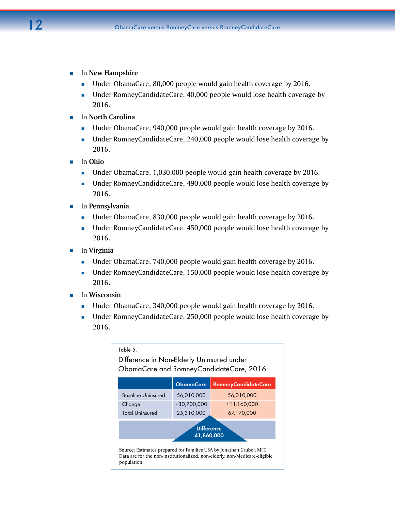- **In New Hampshire** 
	- **Under ObamaCare, 80,000 people would gain health coverage by 2016.**
	- Under RomneyCandidateCare, 40,000 people would lose health coverage by 2016.
- **In North Carolina** 
	- Under ObamaCare, 940,000 people would gain health coverage by 2016.
	- Under RomneyCandidateCare, 240,000 people would lose health coverage by 2016.
- In **Ohio**
	- Under ObamaCare, 1,030,000 people would gain health coverage by 2016.
	- Under RomneyCandidateCare, 490,000 people would lose health coverage by 2016.
- In **Pennsylvania**
	- Under ObamaCare, 830,000 people would gain health coverage by 2016.
	- Under RomneyCandidateCare, 450,000 people would lose health coverage by 2016.
- In **Virginia**
	- Under ObamaCare, 740,000 people would gain health coverage by 2016.
	- Under RomneyCandidateCare, 150,000 people would lose health coverage by 2016.
- $\blacksquare$  In Wisconsin
	- Under ObamaCare, 340,000 people would gain health coverage by 2016.
	- Under RomneyCandidateCare, 250,000 people would lose health coverage by 2016.

| <b>ObamaCare</b><br><b>RomneyCandidateCare</b>     |            |            |  |  |
|----------------------------------------------------|------------|------------|--|--|
|                                                    |            |            |  |  |
| <b>Baseline Uninsured</b>                          | 56,010,000 | 56,010,000 |  |  |
| $+11,160,000$<br>$-30,700,000$<br>Change           |            |            |  |  |
| <b>Total Uninsured</b><br>25,310,000<br>67,170,000 |            |            |  |  |
| <b>Difference</b><br>41,860,000                    |            |            |  |  |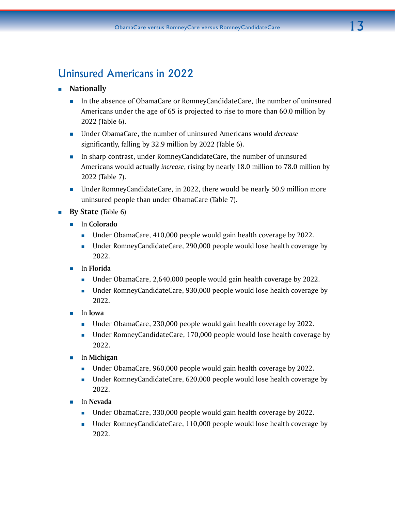# Uninsured Americans in 2022

- **Nationally** 
	- **In the absence of ObamaCare or RomneyCandidateCare, the number of uninsured** Americans under the age of 65 is projected to rise to more than 60.0 million by 2022 (Table 6).
	- Under ObamaCare, the number of uninsured Americans would *decrease* significantly, falling by 32.9 million by 2022 (Table 6).
	- In sharp contrast, under RomneyCandidateCare, the number of uninsured Americans would actually *increase*, rising by nearly 18.0 million to 78.0 million by 2022 (Table 7).
	- Under RomneyCandidateCare, in 2022, there would be nearly 50.9 million more uninsured people than under ObamaCare (Table 7).
- **By State** (Table 6)
	- In **Colorado**
		- Under ObamaCare, 410,000 people would gain health coverage by 2022.
		- Under RomneyCandidateCare, 290,000 people would lose health coverage by 2022.
	- In **Florida**
		- **Under ObamaCare, 2,640,000 people would gain health coverage by 2022.**
		- Under RomneyCandidateCare, 930,000 people would lose health coverage by 2022.
	- In **Iowa**
		- Under ObamaCare, 230,000 people would gain health coverage by 2022.
		- Under RomneyCandidateCare, 170,000 people would lose health coverage by 2022.
	- In **Michigan**
		- **Under ObamaCare, 960,000 people would gain health coverage by 2022.**
		- Under RomneyCandidateCare, 620,000 people would lose health coverage by 2022.
	- In **Nevada**
		- Under ObamaCare, 330,000 people would gain health coverage by 2022.
		- Under RomneyCandidateCare, 110,000 people would lose health coverage by 2022.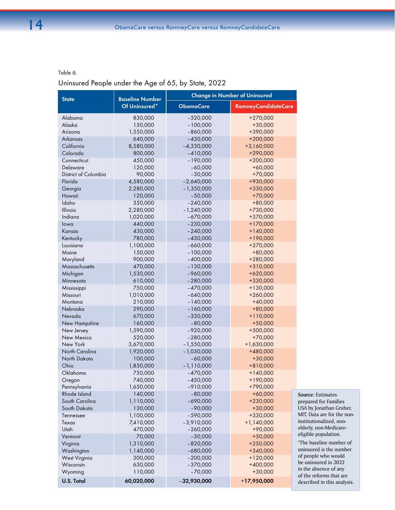### Table 6.

# Uninsured People under the Age of 65, by State, 2022

| <b>State</b>         | <b>Baseline Number</b> |                  | <b>Change in Number of Uninsured</b> |  |
|----------------------|------------------------|------------------|--------------------------------------|--|
|                      | Of Uninsured*          | <b>ObamaCare</b> | <b>RomneyCandidateCare</b>           |  |
| Alabama              | 830,000                | $-520,000$       | $+270,000$                           |  |
| Alaska               | 150,000                | $-100,000$       | $+30,000$                            |  |
| Arizona              | 1,550,000              | $-860,000$       | +390,000                             |  |
| Arkansas             | 640,000                | $-430,000$       | $+200,000$                           |  |
| California           | 8,580,000              | $-4,330,000$     | $+3,160,000$                         |  |
| Colorado             | 800,000                | $-410,000$       | $+290,000$                           |  |
| Connecticut          | 450,000                | $-190,000$       | $+200,000$                           |  |
| Delaware             | 120,000                | $-60,000$        | $+60,000$                            |  |
| District of Columbia | 90,000                 | $-30,000$        | $+70,000$                            |  |
| Florida              | 4,580,000              | $-2,640,000$     | +930,000                             |  |
| Georgia              | 2,280,000              | $-1,350,000$     | +330,000                             |  |
| Hawaii               | 120,000                | $-50,000$        | $+70,000$                            |  |
| Idaho                | 350,000                | $-240,000$       | $+80,000$                            |  |
| Illinois             | 2,280,000              | $-1,240,000$     | +730,000                             |  |
| Indiana              | 1,020,000              | $-670,000$       | +370,000                             |  |
| lowa                 | 440,000                | $-230,000$       | $+170,000$                           |  |
| Kansas               | 430,000                | $-240,000$       | $+140,000$                           |  |
| Kentucky             | 780,000                | $-430,000$       | $+190,000$                           |  |
| Louisiana            | 1,100,000              | $-660,000$       | $+270,000$                           |  |
| Maine                | 150,000                | $-100,000$       | $+80,000$                            |  |
| Maryland             | 900,000                | $-400,000$       | $+280,000$                           |  |
| Massachusetts        | 470,000                | $-130,000$       | +310,000                             |  |
| Michigan             | 1,530,000              | $-960,000$       | $+620,000$                           |  |
| Minnesota            | 610,000                | $-280,000$       | +330,000                             |  |
| Mississippi          | 750,000                | $-470,000$       | $+130,000$                           |  |
| Missouri             | 1,010,000              | $-640,000$       | $+260,000$                           |  |
| Montana              | 210,000                | $-140,000$       | $+40,000$                            |  |
| Nebraska             | 290,000                | $-160,000$       | $+80,000$                            |  |
| Nevada               | 670,000                | $-330,000$       | $+110,000$                           |  |
| New Hampshire        | 160,000                | $-80,000$        | $+50,000$                            |  |
| New Jersey           | 1,590,000              | $-920,000$       | $+500,000$                           |  |
| New Mexico           | 520,000                | $-280,000$       | $+70,000$                            |  |
| New York             | 3,670,000              | $-1,550,000$     | $+1,630,000$                         |  |
| North Carolina       | 1,920,000              | $-1,030,000$     | +480,000                             |  |
| North Dakota         | 100,000                | $-60,000$        | $+30,000$                            |  |
| Ohio                 | 1,850,000              | $-1,110,000$     | $+810,000$                           |  |
| Oklahoma             | 750,000                | $-470,000$       | $+140,000$                           |  |
| Oregon               | 740,000                | $-450,000$       | +190,000                             |  |
| Pennsylvania         | 1,650,000              | $-910,000$       | +790,000                             |  |
| Rhode Island         | 140,000                | $-80,000$        | $+60,000$                            |  |
| South Carolina       | 1,110,000              | $-690,000$       | $+230,000$                           |  |
| South Dakota         | 130,000                | $-90,000$        | $+30,000$                            |  |
| Tennessee            | 1,100,000              | $-590,000$       | $+330,000$                           |  |
| Texas                | 7,410,000              | $-3,910,000$     | $+1,140,000$                         |  |
| Utah                 | 470,000                | $-260,000$       | $+90,000$                            |  |
| Vermont              | 70,000                 | $-30,000$        | $+50,000$                            |  |
| Virginia             | 1,310,000              | $-820,000$       | $+250,000$                           |  |
| Washington           | 1,140,000              | $-680,000$       | $+340,000$                           |  |
| West Virginia        | 300,000                | $-200,000$       | $+120,000$                           |  |
| Wisconsin            | 630,000                | $-370,000$       | $+400,000$                           |  |
| Wyoming              | 110,000                | $-70,000$        | $+30,000$                            |  |
|                      |                        |                  |                                      |  |
| U.S. Total           | 60,020,000             | $-32,930,000$    | $+17,950,000$                        |  |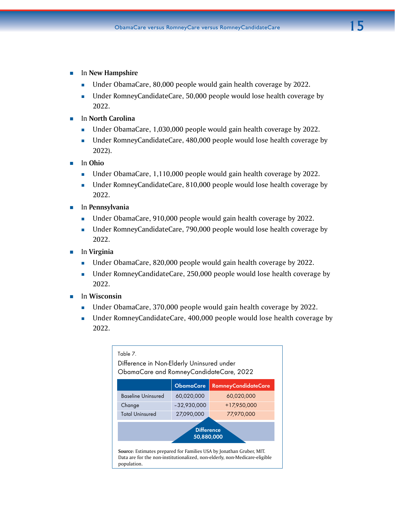- **In New Hampshire** 
	- **Under ObamaCare, 80,000 people would gain health coverage by 2022.**
	- Under RomneyCandidateCare, 50,000 people would lose health coverage by 2022.
- In **North Carolina**
	- Under ObamaCare, 1,030,000 people would gain health coverage by 2022.
	- Under RomneyCandidateCare, 480,000 people would lose health coverage by 2022).
- In **Ohio**
	- Under ObamaCare, 1,110,000 people would gain health coverage by 2022.
	- Under RomneyCandidateCare, 810,000 people would lose health coverage by 2022.
- In **Pennsylvania**
	- Under ObamaCare, 910,000 people would gain health coverage by 2022.
	- Under RomneyCandidateCare, 790,000 people would lose health coverage by 2022.
- In **Virginia**
	- Under ObamaCare, 820,000 people would gain health coverage by 2022.
	- Under RomneyCandidateCare, 250,000 people would lose health coverage by 2022.
- **In Wisconsin** 
	- Under ObamaCare, 370,000 people would gain health coverage by 2022.
	- Under RomneyCandidateCare, 400,000 people would lose health coverage by 2022.

| Table 7.<br>Difference in Non-Elderly Uninsured under<br>ObamaCare and RomneyCandidateCare, 2022                                                                  |                  |                            |  |  |
|-------------------------------------------------------------------------------------------------------------------------------------------------------------------|------------------|----------------------------|--|--|
|                                                                                                                                                                   | <b>ObamaCare</b> | <b>RomneyCandidateCare</b> |  |  |
| <b>Baseline Uninsured</b>                                                                                                                                         | 60,020,000       | 60,020,000                 |  |  |
| Change                                                                                                                                                            | $-32,930,000$    | +17,950,000                |  |  |
| <b>Total Uninsured</b><br>27,090,000<br>77,970,000                                                                                                                |                  |                            |  |  |
| <b>Difference</b><br>50,880,000                                                                                                                                   |                  |                            |  |  |
| Source: Estimates prepared for Families USA by Jonathan Gruber, MIT.<br>Data are for the non-institutionalized, non-elderly, non-Medicare-eligible<br>population. |                  |                            |  |  |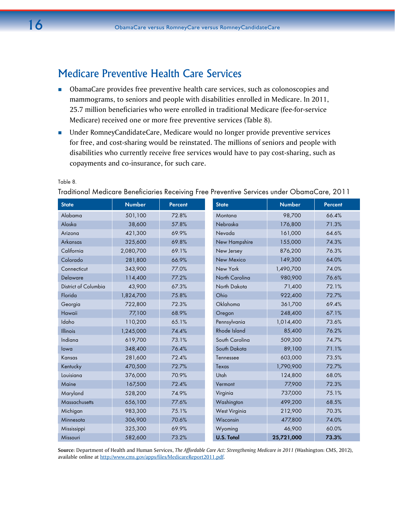# Medicare Preventive Health Care Services

- **D** ObamaCare provides free preventive health care services, such as colonoscopies and mammograms, to seniors and people with disabilities enrolled in Medicare. In 2011, 25.7 million beneficiaries who were enrolled in traditional Medicare (fee-for-service Medicare) received one or more free preventive services (Table 8).
- Under RomneyCandidateCare, Medicare would no longer provide preventive services for free, and cost-sharing would be reinstated. The millions of seniors and people with disabilities who currently receive free services would have to pay cost-sharing, such as copayments and co-insurance, for such care.

| <b>State</b>                | <b>Number</b> | Percent | <b>State</b>         | <b>Number</b> | <b>Percent</b> |
|-----------------------------|---------------|---------|----------------------|---------------|----------------|
| Alabama                     | 501,100       | 72.8%   | Montana              | 98,700        | 66.4%          |
| Alaska                      | 38,600        | 57.8%   | Nebraska             | 176,800       | 71.3%          |
| Arizona                     | 421,300       | 69.9%   | Nevada               | 161,000       | 64.6%          |
| <b>Arkansas</b>             | 325,600       | 69.8%   | New Hampshire        | 155,000       | 74.3%          |
| California                  | 2,080,700     | 69.1%   | New Jersey           | 876,200       | 76.3%          |
| Colorado                    | 281,800       | 66.9%   | <b>New Mexico</b>    | 149,300       | 64.0%          |
| Connecticut                 | 343,900       | 77.0%   | New York             | 1,490,700     | 74.0%          |
| <b>Delaware</b>             | 114,400       | 77.2%   | North Carolina       | 980,900       | 76.6%          |
| <b>District of Columbia</b> | 43,900        | 67.3%   | North Dakota         | 71,400        | 72.1%          |
| Florida                     | 1,824,700     | 75.8%   | Ohio                 | 922,400       | 72.7%          |
| Georgia                     | 722,800       | 72.3%   | Oklahoma             | 361,700       | 69.4%          |
| Hawaii                      | 77,100        | 68.9%   | Oregon               | 248,400       | 67.1%          |
| Idaho                       | 110,200       | 65.1%   | Pennsylvania         | 1,014,400     | 73.6%          |
| Illinois                    | 1,245,000     | 74.4%   | Rhode Island         | 85,400        | 76.2%          |
| Indiana                     | 619,700       | 73.1%   | South Carolina       | 509,300       | 74.7%          |
| lowa                        | 348,400       | 76.4%   | South Dakota         | 89,100        | 71.1%          |
| Kansas                      | 281,600       | 72.4%   | Tennessee            | 603,000       | 73.5%          |
| Kentucky                    | 470,500       | 72.7%   | Texas                | 1,790,900     | 72.7%          |
| Louisiana                   | 376,000       | 70.9%   | Utah                 | 124,800       | 68.0%          |
| Maine                       | 167,500       | 72.4%   | Vermont              | 77,900        | 72.3%          |
| Maryland                    | 528,200       | 74.9%   | Virginia             | 737,000       | 75.1%          |
| Massachusetts               | 656,100       | 77.6%   | Washington           | 499,200       | 68.5%          |
| Michigan                    | 983,300       | 75.1%   | <b>West Virginia</b> | 212,900       | 70.3%          |
| Minnesota                   | 306,900       | 70.6%   | Wisconsin            | 477,800       | 74.0%          |
| Mississippi                 | 325,300       | 69.9%   | Wyoming              | 46,900        | 60.0%          |
| Missouri                    | 582,600       | 73.2%   | <b>U.S. Total</b>    | 25,721,000    | 73.3%          |

Table 8.

Traditional Medicare Beneficiaries Receiving Free Preventive Services under ObamaCare, 2011

**Source**: Department of Health and Human Services, *The Affordable Care Act: Strengthening Medicare in 2011* (Washington: CMS, 2012), available online at<http://www.cms.gov/apps/files/MedicareReport2011.pdf>.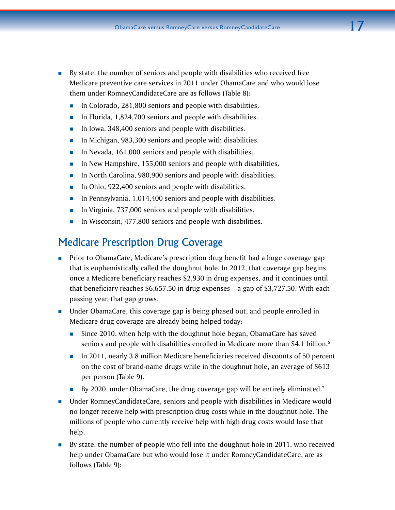- By state, the number of seniors and people with disabilities who received free Medicare preventive care services in 2011 under ObamaCare and who would lose them under RomneyCandidateCare are as follows (Table 8):
	- **In Colorado, 281,800 seniors and people with disabilities.**
	- In Florida,  $1,824,700$  seniors and people with disabilities.
	- In Iowa,  $348,400$  seniors and people with disabilities.
	- In Michigan, 983,300 seniors and people with disabilities.
	- In Nevada, 161,000 seniors and people with disabilities.
	- In New Hampshire, 155,000 seniors and people with disabilities.
	- In North Carolina, 980,900 seniors and people with disabilities.
	- In Ohio, 922,400 seniors and people with disabilities.
	- **IFM** In Pennsylvania, 1,014,400 seniors and people with disabilities.
	- In Virginia, 737,000 seniors and people with disabilities.
	- In Wisconsin, 477,800 seniors and people with disabilities.

# Medicare Prescription Drug Coverage

- **Prior to ObamaCare, Medicare's prescription drug benefit had a huge coverage gap** that is euphemistically called the doughnut hole. In 2012, that coverage gap begins once a Medicare beneficiary reaches \$2,930 in drug expenses, and it continues until that beneficiary reaches \$6,657.50 in drug expenses—a gap of \$3,727.50. With each passing year, that gap grows.
- Under ObamaCare, this coverage gap is being phased out, and people enrolled in Medicare drug coverage are already being helped today:
	- Since 2010, when help with the doughnut hole began, ObamaCare has saved seniors and people with disabilities enrolled in Medicare more than \$4.1 billion.<sup>6</sup>
	- In 2011, nearly 3.8 million Medicare beneficiaries received discounts of 50 percent on the cost of brand-name drugs while in the doughnut hole, an average of \$613 per person (Table 9).
	- By 2020, under ObamaCare, the drug coverage gap will be entirely eliminated.<sup>7</sup>
- Under RomneyCandidateCare, seniors and people with disabilities in Medicare would no longer receive help with prescription drug costs while in the doughnut hole. The millions of people who currently receive help with high drug costs would lose that help.
- By state, the number of people who fell into the doughnut hole in 2011, who received help under ObamaCare but who would lose it under RomneyCandidateCare, are as follows (Table 9):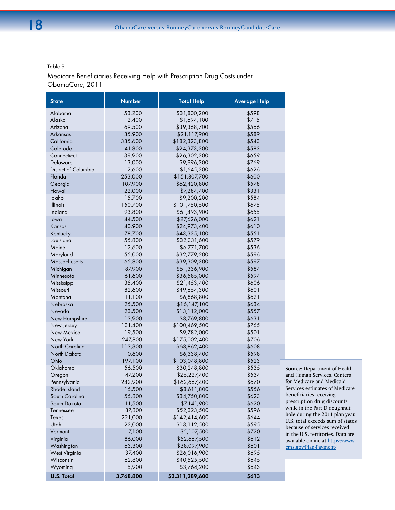Table 9.

Medicare Beneficiaries Receiving Help with Prescription Drug Costs under ObamaCare, 2011

| <b>State</b>         | <b>Number</b>   | <b>Total Help</b>           | <b>Average Help</b> |                                                           |
|----------------------|-----------------|-----------------------------|---------------------|-----------------------------------------------------------|
| Alabama              | 53,200          | \$31,800,200                | \$598               |                                                           |
| Alaska               | 2,400           | \$1,694,100                 | \$715               |                                                           |
| Arizona              | 69,500          | \$39,368,700                | \$566               |                                                           |
| Arkansas             | 35,900          | \$21,117,900                | \$589               |                                                           |
| California           | 335,600         | \$182,323,800               | \$543               |                                                           |
| Colorado             | 41,800          | \$24,373,200                | \$583               |                                                           |
| Connecticut          | 39,900          | \$26,302,200                | \$659               |                                                           |
| Delaware             | 13,000          | \$9,996,300                 | \$769               |                                                           |
| District of Columbia | 2,600           | \$1,645,200                 | \$626               |                                                           |
| Florida              | 253,000         | \$151,807,700               | \$600               |                                                           |
| Georgia              | 107,900         | \$62,420,800                | \$578               |                                                           |
| Hawaii               | 22,000          | \$7,284,400                 | \$331               |                                                           |
| Idaho                | 15,700          | \$9,200,200                 | \$584               |                                                           |
| Illinois             | 150,700         | \$101,750,500               | \$675               |                                                           |
| Indiana              | 93,800          | \$61,493,900                | \$655               |                                                           |
| lowa                 | 44,500          | \$27,626,000                | \$621               |                                                           |
| Kansas               | 40,900          | \$24,973,400                | \$610               |                                                           |
| Kentucky             | 78,700          | \$43,325,100                | \$551               |                                                           |
| Louisiana            | 55,800          | \$32,331,600                | \$579               |                                                           |
| Maine                | 12,600          | \$6,771,700                 | \$536               |                                                           |
| Maryland             | 55,000          | \$32,779,200                | \$596               |                                                           |
| Massachusetts        | 65,800          | \$39,309,300                | \$597               |                                                           |
| Michigan             | 87,900          | \$51,336,900                | \$584               |                                                           |
| Minnesota            | 61,600          | \$36,585,000                | \$594               |                                                           |
| Mississippi          | 35,400          | \$21,453,400                | \$606               |                                                           |
| Missouri             | 82,600          | \$49,654,300                | \$601               |                                                           |
| Montana              | 11,100          | \$6,868,800                 | \$621               |                                                           |
| Nebraska             | 25,500          | \$16,147,100                | \$634               |                                                           |
| Nevada               | 23,500          | \$13,112,000                | \$557               |                                                           |
| New Hampshire        | 13,900          | \$8,769,800                 | \$631               |                                                           |
| New Jersey           | 131,400         | \$100,469,500               | \$765               |                                                           |
| New Mexico           | 19,500          | \$9,782,000                 | \$501               |                                                           |
| New York             | 247,800         | \$175,002,400               | \$706               |                                                           |
| North Carolina       | 113,300         | \$68,862,400                | \$608               |                                                           |
| North Dakota         | 10,600          | \$6,338,400                 | \$598               |                                                           |
| Ohio                 | 197,100         | \$103,048,800               | \$523               |                                                           |
| Oklahoma             | 56,500          | \$30,248,800                | \$535               | Source: Department of Health                              |
| Oregon               | 47,200          | \$25,227,400                | \$534               | and Human Services, Centers                               |
| Pennsylvania         | 242,900         | \$162,667,400               | \$670               | for Medicare and Medicaid                                 |
| Rhode Island         | 15,500          | \$8,611,800                 | \$556               | Services estimates of Medicare<br>beneficiaries receiving |
| South Carolina       | 55,800          | \$34,750,800                | \$623               | prescription drug discounts                               |
| South Dakota         | 11,500          | \$7,141,900                 | \$620               | while in the Part D doughnut                              |
| Tennessee            | 87,800          | \$52,323,500                | \$596               | hole during the 2011 plan year.                           |
| Texas                | 221,000         | \$142,414,600               | \$644               | U.S. total exceeds sum of states                          |
| Utah                 | 22,000          | \$13,112,500                | \$595               | because of services received                              |
| Vermont              | 7,100           | \$5,107,500                 | \$720               | in the U.S. territories. Data are                         |
| Virginia             | 86,000          | \$52,667,500                | \$612               | available online at https://www.                          |
| Washington           | 63,300          | \$38,097,900                | \$601               | cms.gov/Plan-Payment/.                                    |
| West Virginia        | 37,400          | \$26,016,900                | \$695               |                                                           |
| Wisconsin<br>Wyoming | 62,800<br>5,900 | \$40,525,500<br>\$3,764,200 | \$645<br>\$643      |                                                           |
| <b>U.S. Total</b>    | 3,768,800       | \$2,311,289,600             | \$613               |                                                           |
|                      |                 |                             |                     |                                                           |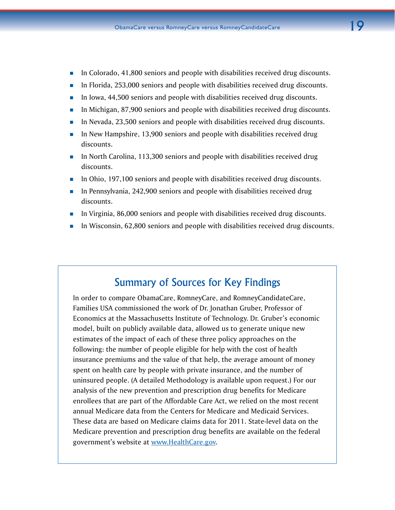- In Colorado, 41,800 seniors and people with disabilities received drug discounts.
- **In Florida, 253,000 seniors and people with disabilities received drug discounts.**
- In Iowa, 44,500 seniors and people with disabilities received drug discounts.
- In Michigan, 87,900 seniors and people with disabilities received drug discounts.
- In Nevada, 23,500 seniors and people with disabilities received drug discounts.
- **IF** In New Hampshire, 13,900 seniors and people with disabilities received drug discounts.
- **In North Carolina, 113,300 seniors and people with disabilities received drug** discounts.
- **IFM** In Ohio, 197,100 seniors and people with disabilities received drug discounts.
- In Pennsylvania,  $242,900$  seniors and people with disabilities received drug discounts.
- In Virginia, 86,000 seniors and people with disabilities received drug discounts.
- In Wisconsin, 62,800 seniors and people with disabilities received drug discounts.

# Summary of Sources for Key Findings

In order to compare ObamaCare, RomneyCare, and RomneyCandidateCare, Families USA commissioned the work of Dr. Jonathan Gruber, Professor of Economics at the Massachusetts Institute of Technology. Dr. Gruber's economic model, built on publicly available data, allowed us to generate unique new estimates of the impact of each of these three policy approaches on the following: the number of people eligible for help with the cost of health insurance premiums and the value of that help, the average amount of money spent on health care by people with private insurance, and the number of uninsured people. (A detailed Methodology is available upon request.) For our analysis of the new prevention and prescription drug benefits for Medicare enrollees that are part of the Affordable Care Act, we relied on the most recent annual Medicare data from the Centers for Medicare and Medicaid Services. These data are based on Medicare claims data for 2011. State-level data on the Medicare prevention and prescription drug benefits are available on the federal government's website at www[.HealthCare.gov](http://www.HealthCare.gov).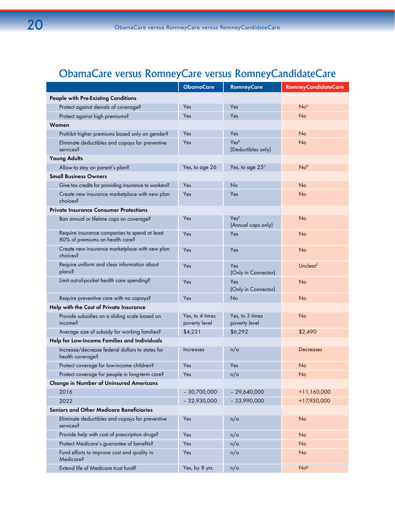# ObamaCare versus RomneyCare versus RomneyCandidateCare

|                                                                                  | <b>ObamaCare</b>                 | <b>RomneyCare</b>                      | RomneyCandidateCare |
|----------------------------------------------------------------------------------|----------------------------------|----------------------------------------|---------------------|
| People with Pre-Existing Conditions                                              |                                  |                                        |                     |
| Protect against denials of coverage?                                             | Yes                              | Yes                                    | No <sup>a</sup>     |
| Protect against high premiums?                                                   | Yes                              | Yes                                    | <b>No</b>           |
| Women                                                                            |                                  |                                        |                     |
| Prohibit higher premiums based only on gender?                                   | Yes                              | Yes                                    | <b>No</b>           |
| Eliminate deductibles and copays for preventive<br>services?                     | Yes                              | Yesb<br>(Deductibles only)             | <b>No</b>           |
| <b>Young Adults</b>                                                              |                                  |                                        |                     |
| Allow to stay on parent's plan?                                                  | Yes, to age 26                   | Yes, to age $25^{\circ}$               | No <sup>d</sup>     |
| <b>Small Business Owners</b>                                                     |                                  |                                        |                     |
| Give tax credits for providing insurance to workers?                             | Yes                              | No                                     | <b>No</b>           |
| Create new insurance marketplace with new plan<br>choices?                       | Yes                              | Yes                                    | <b>No</b>           |
| <b>Private Insurance Consumer Protections</b>                                    |                                  |                                        |                     |
| Ban annual or lifetime caps on coverage?                                         | Yes                              | Yes <sup>e</sup><br>(Annual caps only) | <b>No</b>           |
| Require insurance companies to spend at least<br>80% of premiums on health care? | Yes                              | Yes                                    | <b>No</b>           |
| Create new insurance marketplace with new plan<br>choices?                       | Yes                              | Yes                                    | <b>No</b>           |
| Require uniform and clear information about<br>plans?                            | Yes                              | Yes<br>(Only in Connector)             | Unclearf            |
| Limit out-of-pocket health care spending?                                        | Yes                              | Yes<br>(Only in Connector)             | <b>No</b>           |
| Require preventive care with no copays?                                          | Yes                              | No                                     | No                  |
| Help with the Cost of Private Insurance                                          |                                  |                                        |                     |
| Provide subsidies on a sliding scale based on<br>income?                         | Yes, to 4 times<br>poverty level | Yes, to 3 times<br>poverty level       | No                  |
| Average size of subsidy for working families?                                    | \$4,231                          | \$6,292                                | \$2,490             |
| Help for Low-Income Families and Individuals                                     |                                  |                                        |                     |
| Increase/decrease federal dollars to states for<br>health coverage?              | Increases                        | n/a                                    | Decreases           |
| Protect coverage for low-income children?                                        | Yes                              | Yes                                    | No                  |
| Protect coverage for people in long-term care?                                   | Yes                              | n/a                                    | No                  |
| <b>Change in Number of Uninsured Americans</b>                                   |                                  |                                        |                     |
| 2016                                                                             | $-30,700,000$                    | $-29,640,000$                          | $+11,160,000$       |
| 2022                                                                             | $-32,930,000$                    | $-33,990,000$                          | +17,950,000         |
| <b>Seniors and Other Medicare Beneficiaries</b>                                  |                                  |                                        |                     |
| Eliminate deductibles and copays for preventive<br>services?                     | Yes                              | n/a                                    | No                  |
| Provide help with cost of prescription drugs?                                    | Yes                              | n/a                                    | <b>No</b>           |
| Protect Medicare's guarantee of benefits?                                        | Yes                              | n/a                                    | <b>No</b>           |
| Fund efforts to improve cost and quality in<br>Medicare?                         | Yes                              | n/a                                    | N <sub>o</sub>      |
| Extend life of Medicare trust fund?                                              | Yes, by 8 yrs.                   | n/a                                    | No <sup>g</sup>     |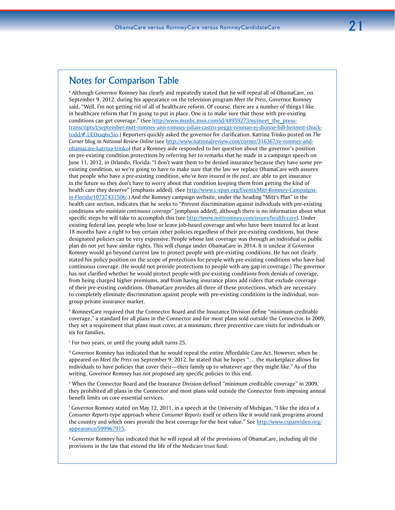# Notes for Comparison Table

a Although Governor Romney has clearly and repeatedly stated that he will repeal all of ObamaCare, on September 9, 2012, during his appearance on the television program *Meet the Press*, Governor Romney said, "Well, I'm not getting rid of all of healthcare reform. Of course, there are a number of things I like in healthcare reform that I'm going to put in place. One is to make sure that those with pre-existing conditions can get coverage." (See http://www.msnbc.msn.com/id/48959273/ns/meet\_the\_presstranscripts/t/september-mitt-romney-ann-romney-julian-castro-peggy-noonan-ej-dionne-bill-bennett-chucktodd/#.UE0xsq6x5io.) Reporters quickly asked the governor for clarification. Katrina Trinko posted on *The Corner* blog in *National Review Online* (see [http://www.nationalreview.com/corner/316367](http://www.nationalreview.com/corner/316367/re-romney-and-obamacare-katrina-trinko)*/*re-romney-and[obamacare-katrina-trinko\)](http://www.nationalreview.com/corner/316367/re-romney-and-obamacare-katrina-trinko) that a Romney aide responded to her question about the governor's position on pre-existing condition protections by referring her to remarks that he made in a campaign speech on June 11, 2012, in Orlando, Florida: "I don't want them to be denied insurance because they have some preexisting condition, so we're going to have to make sure that the law we replace ObamaCare with assures that people who have a pre-existing condition, *who've been insured in the past*, are able to get insurance in the future so they don't have to worry about that condition keeping them from getting the kind of health care they deserve" [emphasis added]. (See [http://www.c-span.org/Events/Mitt-Romney-Campaigns](http://www.c-span.org/Events/Mitt-Romney-Campaigns-in-Florida/10737431506/)[in-Florida/10737431506/.](http://www.c-span.org/Events/Mitt-Romney-Campaigns-in-Florida/10737431506/)) And the Romney campaign website, under the heading "Mitt's Plan" in the health care section, indicates that he seeks to "Prevent discrimination against individuals with pre-existing conditions *who maintain continuous coverage*" [emphasis added], although there is no information about what specific steps he will take to accomplish this (see [http://www.mittromney.com/issues/health-care\)](http://www.mittromney.com/issues/health-care). Under existing federal law, people who lose or leave job-based coverage and who have been insured for at least 18 months have a right to buy certain other policies regardless of their pre-existing conditions, but these designated policies can be very expensive. People whose last coverage was through an individual or public plan do not yet have similar rights. This will change under ObamaCare in 2014. It is unclear if Governor Romney would go beyond current law to protect people with pre-existing conditions. He has not clearly stated his policy position on the scope of protections for people with pre-existing conditions who have had continuous coverage. (He would not provide protections to people with any gap in coverage.) The governor has not clarified whether he would protect people with pre-existing conditions from denials of coverage, from being charged higher premiums, and from having insurance plans add riders that exclude coverage of their pre-existing conditions. ObamaCare provides all three of these protections, which are necessary to completely eliminate discrimination against people with pre-existing conditions in the individual, nongroup private insurance market.

<sup>b</sup> RomneyCare required that the Connector Board and the Insurance Division define "minimum creditable coverage," a standard for all plans in the Connector and for most plans sold outside the Connector. In 2009, they set a requirement that plans must cover, at a minimum, three preventive care visits for individuals or six for families.

c For two years, or until the young adult turns 25.

d Governor Romney has indicated that he would repeal the entire Affordable Care Act. However, when he appeared on *Meet the Press* on September 9, 2012, he stated that he hopes "… the marketplace allows for individuals to have policies that cover their—their family up to whatever age they might like." As of this writing, Governor Romney has not proposed any specific policies to this end.

e When the Connector Board and the Insurance Division defined "minimum creditable coverage" in 2009, they prohibited all plans in the Connector and most plans sold outside the Connector from imposing annual benefit limits on core essential services.

f Governor Romney stated on May 12, 2011, in a speech at the University of Michigan, "I like the idea of a C*onsumer Reports*-type approach where *Consumer Reports* itself or others like it would rank programs around the country and which ones provide the best coverage for the best value." See [http://www.cspanvideo.org/](http://www.cspanvideo.org/appearance/599967915) [appearance/599967915.](http://www.cspanvideo.org/appearance/599967915)

<sup>g</sup> Governor Romney has indicated that he will repeal all of the provisions of ObamaCare, including all the provisions in the law that extend the life of the Medicare trust fund.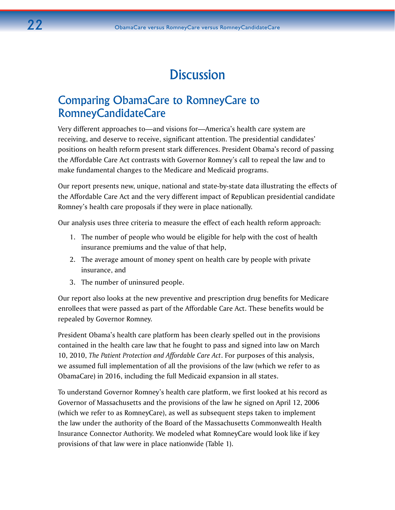# **Discussion**

# Comparing ObamaCare to RomneyCare to RomneyCandidateCare

Very different approaches to—and visions for—America's health care system are receiving, and deserve to receive, significant attention. The presidential candidates' positions on health reform present stark differences. President Obama's record of passing the Affordable Care Act contrasts with Governor Romney's call to repeal the law and to make fundamental changes to the Medicare and Medicaid programs.

Our report presents new, unique, national and state-by-state data illustrating the effects of the Affordable Care Act and the very different impact of Republican presidential candidate Romney's health care proposals if they were in place nationally.

Our analysis uses three criteria to measure the effect of each health reform approach:

- 1. The number of people who would be eligible for help with the cost of health insurance premiums and the value of that help,
- 2. The average amount of money spent on health care by people with private insurance, and
- 3. The number of uninsured people.

Our report also looks at the new preventive and prescription drug benefits for Medicare enrollees that were passed as part of the Affordable Care Act. These benefits would be repealed by Governor Romney.

President Obama's health care platform has been clearly spelled out in the provisions contained in the health care law that he fought to pass and signed into law on March 10, 2010, *The Patient Protection and Affordable Care Act*. For purposes of this analysis, we assumed full implementation of all the provisions of the law (which we refer to as ObamaCare) in 2016, including the full Medicaid expansion in all states.

To understand Governor Romney's health care platform, we first looked at his record as Governor of Massachusetts and the provisions of the law he signed on April 12, 2006 (which we refer to as RomneyCare), as well as subsequent steps taken to implement the law under the authority of the Board of the Massachusetts Commonwealth Health Insurance Connector Authority. We modeled what RomneyCare would look like if key provisions of that law were in place nationwide (Table 1).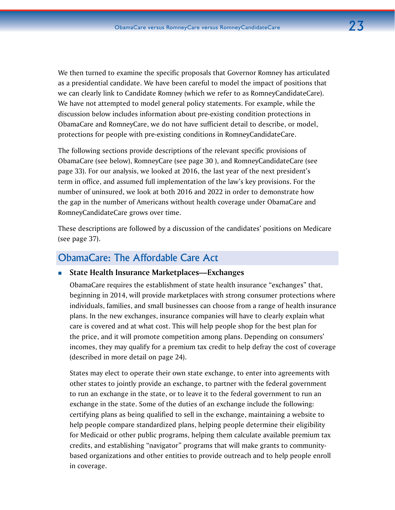We then turned to examine the specific proposals that Governor Romney has articulated as a presidential candidate. We have been careful to model the impact of positions that we can clearly link to Candidate Romney (which we refer to as RomneyCandidateCare). We have not attempted to model general policy statements. For example, while the discussion below includes information about pre-existing condition protections in ObamaCare and RomneyCare, we do not have sufficient detail to describe, or model, protections for people with pre-existing conditions in RomneyCandidateCare.

The following sections provide descriptions of the relevant specific provisions of ObamaCare (see below), RomneyCare (see page 30 ), and RomneyCandidateCare (see page 33). For our analysis, we looked at 2016, the last year of the next president's term in office, and assumed full implementation of the law's key provisions. For the number of uninsured, we look at both 2016 and 2022 in order to demonstrate how the gap in the number of Americans without health coverage under ObamaCare and RomneyCandidateCare grows over time.

These descriptions are followed by a discussion of the candidates' positions on Medicare (see page 37).

# ObamaCare: The Affordable Care Act

### **State Health Insurance Marketplaces—Exchanges**

ObamaCare requires the establishment of state health insurance "exchanges" that, beginning in 2014, will provide marketplaces with strong consumer protections where individuals, families, and small businesses can choose from a range of health insurance plans. In the new exchanges, insurance companies will have to clearly explain what care is covered and at what cost. This will help people shop for the best plan for the price, and it will promote competition among plans. Depending on consumers' incomes, they may qualify for a premium tax credit to help defray the cost of coverage (described in more detail on page 24).

States may elect to operate their own state exchange, to enter into agreements with other states to jointly provide an exchange, to partner with the federal government to run an exchange in the state, or to leave it to the federal government to run an exchange in the state. Some of the duties of an exchange include the following: certifying plans as being qualified to sell in the exchange, maintaining a website to help people compare standardized plans, helping people determine their eligibility for Medicaid or other public programs, helping them calculate available premium tax credits, and establishing "navigator" programs that will make grants to communitybased organizations and other entities to provide outreach and to help people enroll in coverage.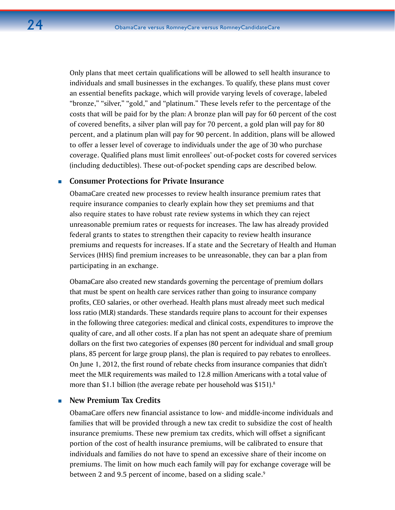Only plans that meet certain qualifications will be allowed to sell health insurance to individuals and small businesses in the exchanges. To qualify, these plans must cover an essential benefits package, which will provide varying levels of coverage, labeled "bronze," "silver," "gold," and "platinum." These levels refer to the percentage of the costs that will be paid for by the plan: A bronze plan will pay for 60 percent of the cost of covered benefits, a silver plan will pay for 70 percent, a gold plan will pay for 80 percent, and a platinum plan will pay for 90 percent. In addition, plans will be allowed to offer a lesser level of coverage to individuals under the age of 30 who purchase coverage. Qualified plans must limit enrollees' out-of-pocket costs for covered services (including deductibles). These out-of-pocket spending caps are described below.

### **Consumer Protections for Private Insurance**

ObamaCare created new processes to review health insurance premium rates that require insurance companies to clearly explain how they set premiums and that also require states to have robust rate review systems in which they can reject unreasonable premium rates or requests for increases. The law has already provided federal grants to states to strengthen their capacity to review health insurance premiums and requests for increases. If a state and the Secretary of Health and Human Services (HHS) find premium increases to be unreasonable, they can bar a plan from participating in an exchange.

ObamaCare also created new standards governing the percentage of premium dollars that must be spent on health care services rather than going to insurance company profits, CEO salaries, or other overhead. Health plans must already meet such medical loss ratio (MLR) standards. These standards require plans to account for their expenses in the following three categories: medical and clinical costs, expenditures to improve the quality of care, and all other costs. If a plan has not spent an adequate share of premium dollars on the first two categories of expenses (80 percent for individual and small group plans, 85 percent for large group plans), the plan is required to pay rebates to enrollees. On June 1, 2012, the first round of rebate checks from insurance companies that didn't meet the MLR requirements was mailed to 12.8 million Americans with a total value of more than \$1.1 billion (the average rebate per household was \$151).<sup>8</sup>

### **New Premium Tax Credits**

ObamaCare offers new financial assistance to low- and middle-income individuals and families that will be provided through a new tax credit to subsidize the cost of health insurance premiums. These new premium tax credits, which will offset a significant portion of the cost of health insurance premiums, will be calibrated to ensure that individuals and families do not have to spend an excessive share of their income on premiums. The limit on how much each family will pay for exchange coverage will be between 2 and 9.5 percent of income, based on a sliding scale.<sup>9</sup>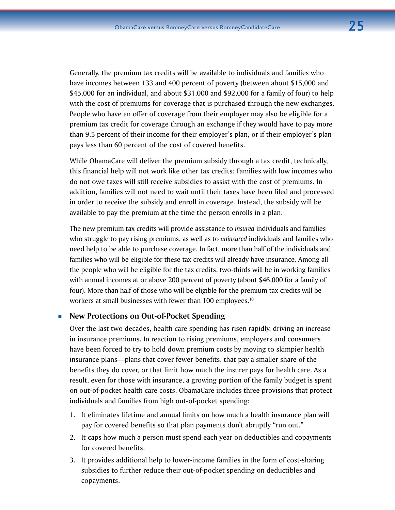Generally, the premium tax credits will be available to individuals and families who have incomes between 133 and 400 percent of poverty (between about \$15,000 and \$45,000 for an individual, and about \$31,000 and \$92,000 for a family of four) to help with the cost of premiums for coverage that is purchased through the new exchanges. People who have an offer of coverage from their employer may also be eligible for a premium tax credit for coverage through an exchange if they would have to pay more than 9.5 percent of their income for their employer's plan, or if their employer's plan pays less than 60 percent of the cost of covered benefits.

While ObamaCare will deliver the premium subsidy through a tax credit, technically, this financial help will not work like other tax credits: Families with low incomes who do not owe taxes will still receive subsidies to assist with the cost of premiums. In addition, families will not need to wait until their taxes have been filed and processed in order to receive the subsidy and enroll in coverage. Instead, the subsidy will be available to pay the premium at the time the person enrolls in a plan.

The new premium tax credits will provide assistance to *insured* individuals and families who struggle to pay rising premiums, as well as to *uninsured* individuals and families who need help to be able to purchase coverage. In fact, more than half of the individuals and families who will be eligible for these tax credits will already have insurance. Among all the people who will be eligible for the tax credits, two-thirds will be in working families with annual incomes at or above 200 percent of poverty (about \$46,000 for a family of four). More than half of those who will be eligible for the premium tax credits will be workers at small businesses with fewer than 100 employees.<sup>10</sup>

### **New Protections on Out-of-Pocket Spending**

Over the last two decades, health care spending has risen rapidly, driving an increase in insurance premiums. In reaction to rising premiums, employers and consumers have been forced to try to hold down premium costs by moving to skimpier health insurance plans—plans that cover fewer benefits, that pay a smaller share of the benefits they do cover, or that limit how much the insurer pays for health care. As a result, even for those with insurance, a growing portion of the family budget is spent on out-of-pocket health care costs. ObamaCare includes three provisions that protect individuals and families from high out-of-pocket spending:

- 1. It eliminates lifetime and annual limits on how much a health insurance plan will pay for covered benefits so that plan payments don't abruptly "run out."
- 2. It caps how much a person must spend each year on deductibles and copayments for covered benefits.
- 3. It provides additional help to lower-income families in the form of cost-sharing subsidies to further reduce their out-of-pocket spending on deductibles and copayments.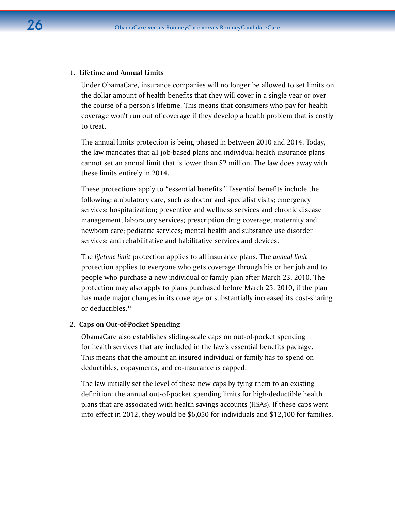### **1. Lifetime and Annual Limits**

Under ObamaCare, insurance companies will no longer be allowed to set limits on the dollar amount of health benefits that they will cover in a single year or over the course of a person's lifetime. This means that consumers who pay for health coverage won't run out of coverage if they develop a health problem that is costly to treat.

The annual limits protection is being phased in between 2010 and 2014. Today, the law mandates that all job-based plans and individual health insurance plans cannot set an annual limit that is lower than \$2 million. The law does away with these limits entirely in 2014.

These protections apply to "essential benefits." Essential benefits include the following: ambulatory care, such as doctor and specialist visits; emergency services; hospitalization; preventive and wellness services and chronic disease management; laboratory services; prescription drug coverage; maternity and newborn care; pediatric services; mental health and substance use disorder services; and rehabilitative and habilitative services and devices.

The *lifetime limit* protection applies to all insurance plans. The *annual limit*  protection applies to everyone who gets coverage through his or her job and to people who purchase a new individual or family plan after March 23, 2010. The protection may also apply to plans purchased before March 23, 2010, if the plan has made major changes in its coverage or substantially increased its cost-sharing or deductibles.<sup>11</sup>

### **2. Caps on Out-of-Pocket Spending**

ObamaCare also establishes sliding-scale caps on out-of-pocket spending for health services that are included in the law's essential benefits package. This means that the amount an insured individual or family has to spend on deductibles, copayments, and co-insurance is capped.

The law initially set the level of these new caps by tying them to an existing definition: the annual out-of-pocket spending limits for high-deductible health plans that are associated with health savings accounts (HSAs). If these caps went into effect in 2012, they would be \$6,050 for individuals and \$12,100 for families.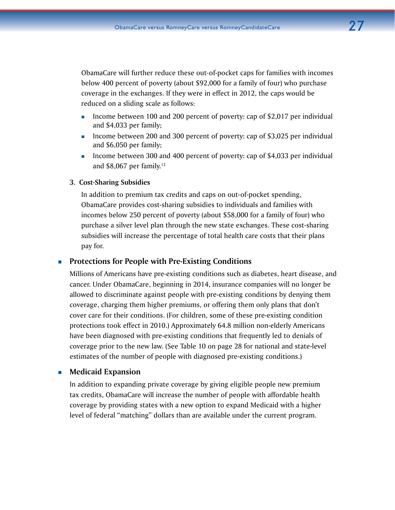ObamaCare will further reduce these out-of-pocket caps for families with incomes below 400 percent of poverty (about \$92,000 for a family of four) who purchase coverage in the exchanges. If they were in effect in 2012, the caps would be reduced on a sliding scale as follows:

- Income between 100 and 200 percent of poverty: cap of \$2,017 per individual and \$4,033 per family;
- Income between 200 and 300 percent of poverty: cap of \$3,025 per individual and \$6,050 per family;
- Income between 300 and 400 percent of poverty: cap of \$4,033 per individual and \$8,067 per family. 12

### **3. Cost-Sharing Subsidies**

In addition to premium tax credits and caps on out-of-pocket spending, ObamaCare provides cost-sharing subsidies to individuals and families with incomes below 250 percent of poverty (about \$58,000 for a family of four) who purchase a silver level plan through the new state exchanges. These cost-sharing subsidies will increase the percentage of total health care costs that their plans pay for.

### **Protections for People with Pre-Existing Conditions**

Millions of Americans have pre-existing conditions such as diabetes, heart disease, and cancer. Under ObamaCare, beginning in 2014, insurance companies will no longer be allowed to discriminate against people with pre-existing conditions by denying them coverage, charging them higher premiums, or offering them only plans that don't cover care for their conditions. (For children, some of these pre-existing condition protections took effect in 2010.) Approximately 64.8 million non-elderly Americans have been diagnosed with pre-existing conditions that frequently led to denials of coverage prior to the new law. (See Table 10 on page 28 for national and state-level estimates of the number of people with diagnosed pre-existing conditions.)

### **Medicaid Expansion**

In addition to expanding private coverage by giving eligible people new premium tax credits, ObamaCare will increase the number of people with affordable health coverage by providing states with a new option to expand Medicaid with a higher level of federal "matching" dollars than are available under the current program.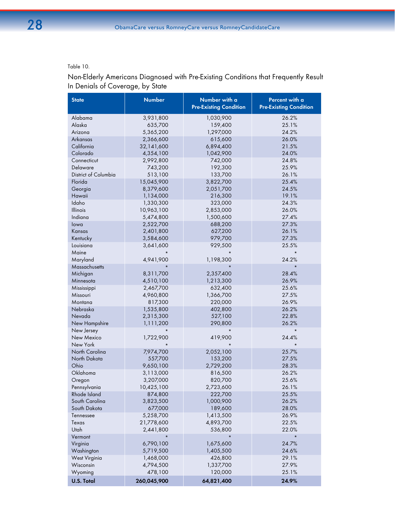### Table 10.

Non-Elderly Americans Diagnosed with Pre-Existing Conditions that Frequently Result In Denials of Coverage, by State

| <b>State</b>         | <b>Number</b> | Number with a<br><b>Pre-Existing Condition</b> | Percent with a<br><b>Pre-Existing Condition</b> |
|----------------------|---------------|------------------------------------------------|-------------------------------------------------|
| Alabama              | 3,931,800     | 1,030,900                                      | 26.2%                                           |
| Alaska               | 635,700       | 159,400                                        | 25.1%                                           |
| Arizona              | 5,365,200     | 1,297,000                                      | 24.2%                                           |
| Arkansas             | 2,366,600     | 615,600                                        | 26.0%                                           |
| California           | 32,141,600    | 6,894,400                                      | 21.5%                                           |
| Colorado             | 4,354,100     | 1,042,900                                      | 24.0%                                           |
| Connecticut          | 2,992,800     | 742,000                                        | 24.8%                                           |
| Delaware             | 743,200       | 192,300                                        | 25.9%                                           |
| District of Columbia | 513,100       | 133,700                                        | 26.1%                                           |
| Florida              | 15,045,900    | 3,822,700                                      | 25.4%                                           |
| Georgia              | 8,379,600     | 2,051,700                                      | 24.5%                                           |
| Hawaii               | 1,134,000     | 216,300                                        | 19.1%                                           |
| Idaho                | 1,330,300     | 323,000                                        | 24.3%                                           |
| Illinois             | 10,963,100    | 2,853,000                                      | 26.0%                                           |
| Indiana              | 5,474,800     | 1,500,600                                      | 27.4%                                           |
| lowa                 | 2,522,700     | 688,200                                        | 27.3%                                           |
| Kansas               | 2,401,800     | 627,200                                        | 26.1%                                           |
| Kentucky             | 3,584,600     | 979,700                                        | 27.3%                                           |
| Louisiana            | 3,641,600     | 929,500                                        | 25.5%                                           |
| Maine                |               |                                                | $\star$                                         |
| Maryland             | 4,941,900     | 1,198,300                                      | 24.2%                                           |
| Massachusetts        |               |                                                | $\star$                                         |
| Michigan             | 8,311,700     | 2,357,400                                      | 28.4%                                           |
| Minnesota            | 4,510,100     | 1,213,300                                      | 26.9%                                           |
| Mississippi          | 2,467,700     | 632,400                                        | 25.6%                                           |
| Missouri             | 4,960,800     | 1,366,700                                      | 27.5%                                           |
| Montana              | 817,300       | 220,000                                        | 26.9%                                           |
| Nebraska             | 1,535,800     | 402,800                                        | 26.2%                                           |
| Nevada               | 2,315,300     | 527,100                                        | 22.8%                                           |
| New Hampshire        | 1,111,200     | 290,800                                        | 26.2%                                           |
| New Jersey           |               |                                                | $\star$                                         |
| New Mexico           | 1,722,900     | 419,900                                        | 24.4%                                           |
| New York             |               |                                                | $\star$                                         |
| North Carolina       | 7,974,700     | 2,052,100                                      | 25.7%                                           |
| North Dakota         | 557,700       | 153,200                                        | 27.5%                                           |
| Ohio                 | 9,650,100     | 2,729,200                                      | 28.3%                                           |
| Oklahoma             | 3,113,000     | 816,500                                        | 26.2%                                           |
| Oregon               | 3,207,000     | 820,700                                        | 25.6%                                           |
| Pennsylvania         | 10,425,100    | 2,723,600                                      | 26.1%                                           |
| Rhode Island         | 874,800       | 222,700                                        | 25.5%                                           |
| South Carolina       | 3,823,500     | 1,000,900                                      | 26.2%                                           |
| South Dakota         | 677,000       | 189,600                                        | 28.0%                                           |
| Tennessee            | 5,258,700     | 1,413,500                                      | 26.9%                                           |
| Texas                | 21,778,600    | 4,893,700                                      | 22.5%                                           |
| Utah                 | 2,441,800     | 536,800                                        | 22.0%                                           |
| Vermont              |               |                                                | $\star$                                         |
| Virginia             | 6,790,100     | 1,675,600                                      | 24.7%                                           |
| Washington           | 5,719,500     | 1,405,500                                      | 24.6%                                           |
| West Virginia        | 1,468,000     | 426,800                                        | 29.1%                                           |
| Wisconsin            | 4,794,500     | 1,337,700                                      | 27.9%                                           |
| Wyoming              | 478,100       | 120,000                                        | 25.1%                                           |
| <b>U.S. Total</b>    | 260,045,900   | 64,821,400                                     | 24.9%                                           |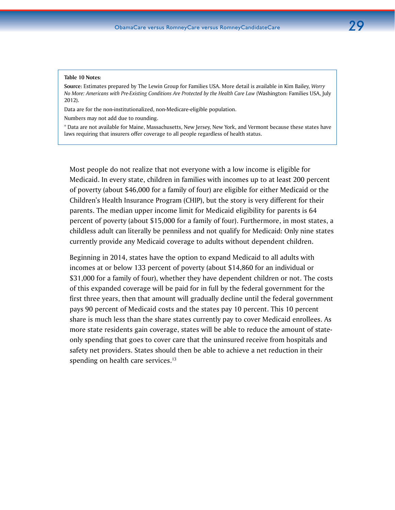#### **Table 10 Notes**:

**Source**: Estimates prepared by The Lewin Group for Families USA. More detail is available in Kim Bailey, *Worry No More: Americans with Pre-Existing Conditions Are Protected by the Health Care Law* (Washington: Families USA, July 2012).

Data are for the non-institutionalized, non-Medicare-eligible population.

Numbers may not add due to rounding.

\* Data are not available for Maine, Massachusetts, New Jersey, New York, and Vermont because these states have laws requiring that insurers offer coverage to all people regardless of health status.

Most people do not realize that not everyone with a low income is eligible for Medicaid. In every state, children in families with incomes up to at least 200 percent of poverty (about \$46,000 for a family of four) are eligible for either Medicaid or the Children's Health Insurance Program (CHIP), but the story is very different for their parents. The median upper income limit for Medicaid eligibility for parents is 64 percent of poverty (about \$15,000 for a family of four). Furthermore, in most states, a childless adult can literally be penniless and not qualify for Medicaid: Only nine states currently provide any Medicaid coverage to adults without dependent children.

Beginning in 2014, states have the option to expand Medicaid to all adults with incomes at or below 133 percent of poverty (about \$14,860 for an individual or \$31,000 for a family of four), whether they have dependent children or not. The costs of this expanded coverage will be paid for in full by the federal government for the first three years, then that amount will gradually decline until the federal government pays 90 percent of Medicaid costs and the states pay 10 percent. This 10 percent share is much less than the share states currently pay to cover Medicaid enrollees. As more state residents gain coverage, states will be able to reduce the amount of stateonly spending that goes to cover care that the uninsured receive from hospitals and safety net providers. States should then be able to achieve a net reduction in their spending on health care services.<sup>13</sup>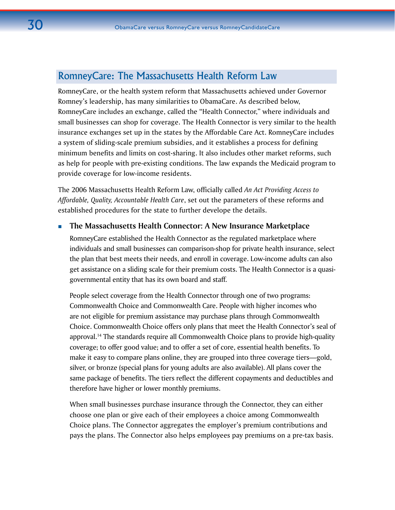# RomneyCare: The Massachusetts Health Reform Law

RomneyCare, or the health system reform that Massachusetts achieved under Governor Romney's leadership, has many similarities to ObamaCare. As described below, RomneyCare includes an exchange, called the "Health Connector," where individuals and small businesses can shop for coverage. The Health Connector is very similar to the health insurance exchanges set up in the states by the Affordable Care Act. RomneyCare includes a system of sliding-scale premium subsidies, and it establishes a process for defining minimum benefits and limits on cost-sharing. It also includes other market reforms, such as help for people with pre-existing conditions. The law expands the Medicaid program to provide coverage for low-income residents.

The 2006 Massachusetts Health Reform Law, officially called *An Act Providing Access to Affordable, Quality, Accountable Health Care*, set out the parameters of these reforms and established procedures for the state to further develope the details.

### **The Massachusetts Health Connector: A New Insurance Marketplace**

RomneyCare established the Health Connector as the regulated marketplace where individuals and small businesses can comparison-shop for private health insurance, select the plan that best meets their needs, and enroll in coverage. Low-income adults can also get assistance on a sliding scale for their premium costs. The Health Connector is a quasigovernmental entity that has its own board and staff.

People select coverage from the Health Connector through one of two programs: Commonwealth Choice and Commonwealth Care. People with higher incomes who are not eligible for premium assistance may purchase plans through Commonwealth Choice. Commonwealth Choice offers only plans that meet the Health Connector's seal of approval.14 The standards require all Commonwealth Choice plans to provide high-quality coverage; to offer good value; and to offer a set of core, essential health benefits. To make it easy to compare plans online, they are grouped into three coverage tiers—gold, silver, or bronze (special plans for young adults are also available). All plans cover the same package of benefits. The tiers reflect the different copayments and deductibles and therefore have higher or lower monthly premiums.

When small businesses purchase insurance through the Connector, they can either choose one plan or give each of their employees a choice among Commonwealth Choice plans. The Connector aggregates the employer's premium contributions and pays the plans. The Connector also helps employees pay premiums on a pre-tax basis.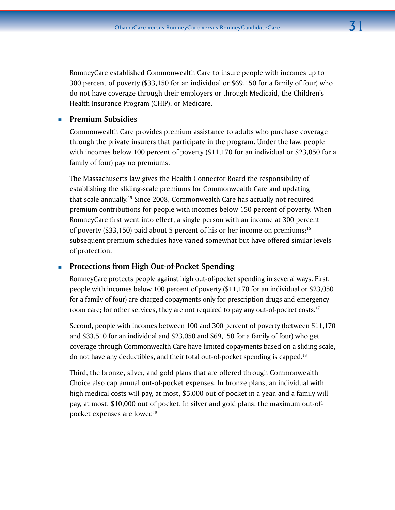RomneyCare established Commonwealth Care to insure people with incomes up to 300 percent of poverty (\$33,150 for an individual or \$69,150 for a family of four) who do not have coverage through their employers or through Medicaid, the Children's Health Insurance Program (CHIP), or Medicare.

### **Premium Subsidies**

Commonwealth Care provides premium assistance to adults who purchase coverage through the private insurers that participate in the program. Under the law, people with incomes below 100 percent of poverty (\$11,170 for an individual or \$23,050 for a family of four) pay no premiums.

The Massachusetts law gives the Health Connector Board the responsibility of establishing the sliding-scale premiums for Commonwealth Care and updating that scale annually.15 Since 2008, Commonwealth Care has actually not required premium contributions for people with incomes below 150 percent of poverty. When RomneyCare first went into effect, a single person with an income at 300 percent of poverty (\$33,150) paid about 5 percent of his or her income on premiums;<sup>16</sup> subsequent premium schedules have varied somewhat but have offered similar levels of protection.

### **Protections from High Out-of-Pocket Spending**

RomneyCare protects people against high out-of-pocket spending in several ways. First, people with incomes below 100 percent of poverty (\$11,170 for an individual or \$23,050 for a family of four) are charged copayments only for prescription drugs and emergency room care; for other services, they are not required to pay any out-of-pocket costs.<sup>17</sup>

Second, people with incomes between 100 and 300 percent of poverty (between \$11,170 and \$33,510 for an individual and \$23,050 and \$69,150 for a family of four) who get coverage through Commonwealth Care have limited copayments based on a sliding scale, do not have any deductibles, and their total out-of-pocket spending is capped.18

Third, the bronze, silver, and gold plans that are offered through Commonwealth Choice also cap annual out-of-pocket expenses. In bronze plans, an individual with high medical costs will pay, at most, \$5,000 out of pocket in a year, and a family will pay, at most, \$10,000 out of pocket. In silver and gold plans, the maximum out-ofpocket expenses are lower.<sup>19</sup>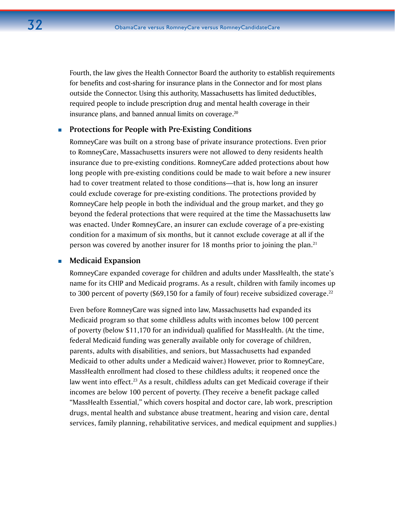Fourth, the law gives the Health Connector Board the authority to establish requirements for benefits and cost-sharing for insurance plans in the Connector and for most plans outside the Connector. Using this authority, Massachusetts has limited deductibles, required people to include prescription drug and mental health coverage in their insurance plans, and banned annual limits on coverage. $20$ 

### **Protections for People with Pre-Existing Conditions**

RomneyCare was built on a strong base of private insurance protections. Even prior to RomneyCare, Massachusetts insurers were not allowed to deny residents health insurance due to pre-existing conditions. RomneyCare added protections about how long people with pre-existing conditions could be made to wait before a new insurer had to cover treatment related to those conditions—that is, how long an insurer could exclude coverage for pre-existing conditions. The protections provided by RomneyCare help people in both the individual and the group market, and they go beyond the federal protections that were required at the time the Massachusetts law was enacted. Under RomneyCare, an insurer can exclude coverage of a pre-existing condition for a maximum of six months, but it cannot exclude coverage at all if the person was covered by another insurer for 18 months prior to joining the plan.<sup>21</sup>

### **Medicaid Expansion**

RomneyCare expanded coverage for children and adults under MassHealth, the state's name for its CHIP and Medicaid programs. As a result, children with family incomes up to 300 percent of poverty (\$69,150 for a family of four) receive subsidized coverage. $^{22}$ 

Even before RomneyCare was signed into law, Massachusetts had expanded its Medicaid program so that some childless adults with incomes below 100 percent of poverty (below \$11,170 for an individual) qualified for MassHealth. (At the time, federal Medicaid funding was generally available only for coverage of children, parents, adults with disabilities, and seniors, but Massachusetts had expanded Medicaid to other adults under a Medicaid waiver.) However, prior to RomneyCare, MassHealth enrollment had closed to these childless adults; it reopened once the law went into effect.<sup>23</sup> As a result, childless adults can get Medicaid coverage if their incomes are below 100 percent of poverty. (They receive a benefit package called "MassHealth Essential," which covers hospital and doctor care, lab work, prescription drugs, mental health and substance abuse treatment, hearing and vision care, dental services, family planning, rehabilitative services, and medical equipment and supplies.)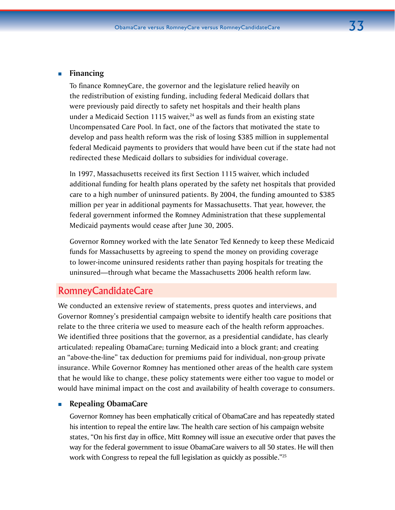### **Financing**

To finance RomneyCare, the governor and the legislature relied heavily on the redistribution of existing funding, including federal Medicaid dollars that were previously paid directly to safety net hospitals and their health plans under a Medicaid Section 1115 waiver, $24$  as well as funds from an existing state Uncompensated Care Pool. In fact, one of the factors that motivated the state to develop and pass health reform was the risk of losing \$385 million in supplemental federal Medicaid payments to providers that would have been cut if the state had not redirected these Medicaid dollars to subsidies for individual coverage.

In 1997, Massachusetts received its first Section 1115 waiver, which included additional funding for health plans operated by the safety net hospitals that provided care to a high number of uninsured patients. By 2004, the funding amounted to \$385 million per year in additional payments for Massachusetts. That year, however, the federal government informed the [Romney](http://en.wikipedia.org/wiki/Mitt_Romney) Administration that these supplemental Medicaid payments would cease after June 30, 2005.

Governor Romney worked with the late [Senator Ted Kennedy](http://en.wikipedia.org/wiki/Ted_Kennedy) to keep these Medicaid funds for Massachusetts by agreeing to spend the money on providing coverage to lower-income uninsured residents rather than paying hospitals for treating the uninsured—through what became the Massachusetts 2006 health reform law.

# RomneyCandidateCare

We conducted an extensive review of statements, press quotes and interviews, and Governor Romney's presidential campaign website to identify health care positions that relate to the three criteria we used to measure each of the health reform approaches. We identified three positions that the governor, as a presidential candidate, has clearly articulated: repealing ObamaCare; turning Medicaid into a block grant; and creating an "above-the-line" tax deduction for premiums paid for individual, non-group private insurance. While Governor Romney has mentioned other areas of the health care system that he would like to change, these policy statements were either too vague to model or would have minimal impact on the cost and availability of health coverage to consumers.

### **Repealing ObamaCare**

Governor Romney has been emphatically critical of ObamaCare and has repeatedly stated his intention to repeal the entire law. The health care section of his campaign website states, "On his first day in office, Mitt Romney will issue an executive order that paves the way for the federal government to issue ObamaCare waivers to all 50 states. He will then work with Congress to repeal the full legislation as quickly as possible."25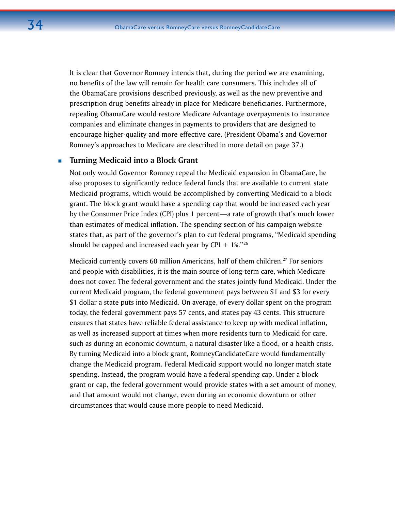It is clear that Governor Romney intends that, during the period we are examining, no benefits of the law will remain for health care consumers. This includes all of the ObamaCare provisions described previously, as well as the new preventive and prescription drug benefits already in place for Medicare beneficiaries. Furthermore, repealing ObamaCare would restore Medicare Advantage overpayments to insurance companies and eliminate changes in payments to providers that are designed to encourage higher-quality and more effective care. (President Obama's and Governor Romney's approaches to Medicare are described in more detail on page 37.)

### **Turning Medicaid into a Block Grant**

Not only would Governor Romney repeal the Medicaid expansion in ObamaCare, he also proposes to significantly reduce federal funds that are available to current state Medicaid programs, which would be accomplished by converting Medicaid to a block grant. The block grant would have a spending cap that would be increased each year by the Consumer Price Index (CPI) plus 1 percent—a rate of growth that's much lower than estimates of medical inflation. The spending section of his campaign website states that, as part of the governor's plan to cut federal programs, "Medicaid spending should be capped and increased each year by CPI  $+ 1\%$ ."<sup>26</sup>

Medicaid currently covers 60 million Americans, half of them children.<sup>27</sup> For seniors and people with disabilities, it is the main source of long-term care, which Medicare does not cover. The federal government and the states jointly fund Medicaid. Under the current Medicaid program, the federal government pays between \$1 and \$3 for every \$1 dollar a state puts into Medicaid. On average, of every dollar spent on the program today, the federal government pays 57 cents, and states pay 43 cents. This structure ensures that states have reliable federal assistance to keep up with medical inflation, as well as increased support at times when more residents turn to Medicaid for care, such as during an economic downturn, a natural disaster like a flood, or a health crisis. By turning Medicaid into a block grant, RomneyCandidateCare would fundamentally change the Medicaid program. Federal Medicaid support would no longer match state spending. Instead, the program would have a federal spending cap. Under a block grant or cap, the federal government would provide states with a set amount of money, and that amount would not change, even during an economic downturn or other circumstances that would cause more people to need Medicaid.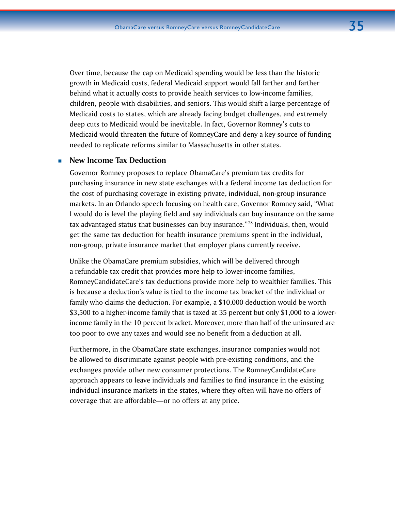Over time, because the cap on Medicaid spending would be less than the historic growth in Medicaid costs, federal Medicaid support would fall farther and farther behind what it actually costs to provide health services to low-income families, children, people with disabilities, and seniors. This would shift a large percentage of Medicaid costs to states, which are already facing budget challenges, and extremely deep cuts to Medicaid would be inevitable. In fact, Governor Romney's cuts to Medicaid would threaten the future of RomneyCare and deny a key source of funding needed to replicate reforms similar to Massachusetts in other states.

### **New Income Tax Deduction**

Governor Romney proposes to replace ObamaCare's premium tax credits for purchasing insurance in new state exchanges with a federal income tax deduction for the cost of purchasing coverage in existing private, individual, non-group insurance markets. In an Orlando speech focusing on health care, Governor Romney said, "What I would do is level the playing field and say individuals can buy insurance on the same tax advantaged status that businesses can buy insurance."<sup>28</sup> Individuals, then, would get the same tax deduction for health insurance premiums spent in the individual, non-group, private insurance market that employer plans currently receive.

Unlike the ObamaCare premium subsidies, which will be delivered through a refundable tax credit that provides more help to lower-income families, RomneyCandidateCare's tax deductions provide more help to wealthier families. This is because a deduction's value is tied to the income tax bracket of the individual or family who claims the deduction. For example, a \$10,000 deduction would be worth \$3,500 to a higher-income family that is taxed at 35 percent but only \$1,000 to a lowerincome family in the 10 percent bracket. Moreover, more than half of the uninsured are too poor to owe any taxes and would see no benefit from a deduction at all.

Furthermore, in the ObamaCare state exchanges, insurance companies would not be allowed to discriminate against people with pre-existing conditions, and the exchanges provide other new consumer protections. The RomneyCandidateCare approach appears to leave individuals and families to find insurance in the existing individual insurance markets in the states, where they often will have no offers of coverage that are affordable—or no offers at any price.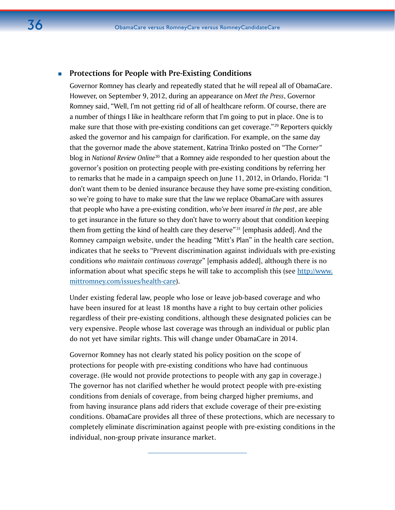### **Protections for People with Pre-Existing Conditions**

Governor Romney has clearly and repeatedly stated that he will repeal all of ObamaCare. However, on September 9, 2012, during an appearance on *Meet the Press*, Governor Romney said, "Well, I'm not getting rid of all of healthcare reform. Of course, there are a number of things I like in healthcare reform that I'm going to put in place. One is to make sure that those with pre-existing conditions can get coverage."<sup>29</sup> Reporters quickly asked the governor and his campaign for clarification. For example, on the same day that the governor made the above statement, Katrina Trinko posted on "The Corne*r"*  blog in *National Review Online*<sup>30</sup> that a Romney aide responded to her question about the governor's position on protecting people with pre-existing conditions by referring her to remarks that he made in a campaign speech on June 11, 2012, in Orlando, Florida: "I don't want them to be denied insurance because they have some pre-existing condition, so we're going to have to make sure that the law we replace ObamaCare with assures that people who have a pre-existing condition, *who've been insured in the past*, are able to get insurance in the future so they don't have to worry about that condition keeping them from getting the kind of health care they deserve" $31$  [emphasis added]. And the Romney campaign website, under the heading "Mitt's Plan" in the health care section, indicates that he seeks to "Prevent discrimination against individuals with pre-existing conditions *who maintain continuous coverage*" [emphasis added], although there is no information about what specific steps he will take to accomplish this (see [http://www.](http://www.mittromney.com/issues/health-care) [mittromney.com/issues/health-care\)](http://www.mittromney.com/issues/health-care).

Under existing federal law, people who lose or leave job-based coverage and who have been insured for at least 18 months have a right to buy certain other policies regardless of their pre-existing conditions, although these designated policies can be very expensive. People whose last coverage was through an individual or public plan do not yet have similar rights. This will change under ObamaCare in 2014.

Governor Romney has not clearly stated his policy position on the scope of protections for people with pre-existing conditions who have had continuous coverage. (He would not provide protections to people with any gap in coverage.) The governor has not clarified whether he would protect people with pre-existing conditions from denials of coverage, from being charged higher premiums, and from having insurance plans add riders that exclude coverage of their pre-existing conditions. ObamaCare provides all three of these protections, which are necessary to completely eliminate discrimination against people with pre-existing conditions in the individual, non-group private insurance market.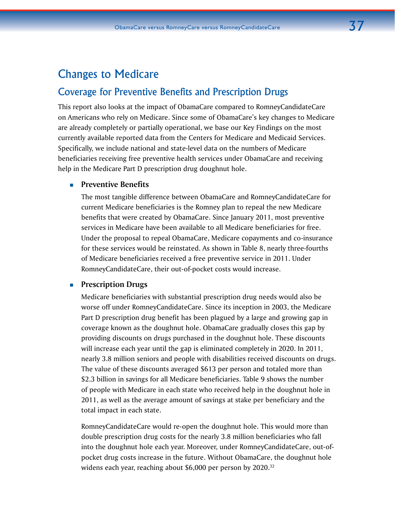# Changes to Medicare

# Coverage for Preventive Benefits and Prescription Drugs

This report also looks at the impact of ObamaCare compared to RomneyCandidateCare on Americans who rely on Medicare. Since some of ObamaCare's key changes to Medicare are already completely or partially operational, we base our Key Findings on the most currently available reported data from the Centers for Medicare and Medicaid Services. Specifically, we include national and state-level data on the numbers of Medicare beneficiaries receiving free preventive health services under ObamaCare and receiving help in the Medicare Part D prescription drug doughnut hole.

### **Preventive Benefits**

The most tangible difference between ObamaCare and RomneyCandidateCare for current Medicare beneficiaries is the Romney plan to repeal the new Medicare benefits that were created by ObamaCare. Since January 2011, most preventive services in Medicare have been available to all Medicare beneficiaries for free. Under the proposal to repeal ObamaCare, Medicare copayments and co-insurance for these services would be reinstated. As shown in Table 8, nearly three-fourths of Medicare beneficiaries received a free preventive service in 2011. Under RomneyCandidateCare, their out-of-pocket costs would increase.

### **Prescription Drugs**

Medicare beneficiaries with substantial prescription drug needs would also be worse off under RomneyCandidateCare. Since its inception in 2003, the Medicare Part D prescription drug benefit has been plagued by a large and growing gap in coverage known as the doughnut hole. ObamaCare gradually closes this gap by providing discounts on drugs purchased in the doughnut hole. These discounts will increase each year until the gap is eliminated completely in 2020. In 2011, nearly 3.8 million seniors and people with disabilities received discounts on drugs. The value of these discounts averaged \$613 per person and totaled more than \$2.3 billion in savings for all Medicare beneficiaries. Table 9 shows the number of people with Medicare in each state who received help in the doughnut hole in 2011, as well as the average amount of savings at stake per beneficiary and the total impact in each state.

RomneyCandidateCare would re-open the doughnut hole. This would more than double prescription drug costs for the nearly 3.8 million beneficiaries who fall into the doughnut hole each year. Moreover, under RomneyCandidateCare, out-ofpocket drug costs increase in the future. Without ObamaCare, the doughnut hole widens each year, reaching about \$6,000 per person by 2020.<sup>32</sup>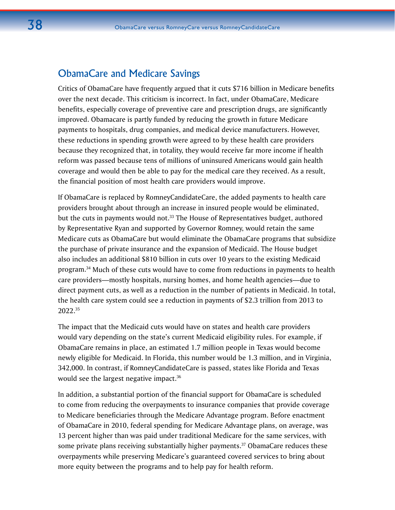# ObamaCare and Medicare Savings

Critics of ObamaCare have frequently argued that it cuts \$716 billion in Medicare benefits over the next decade. This criticism is incorrect. In fact, under ObamaCare, Medicare benefits, especially coverage of preventive care and prescription drugs, are significantly improved. Obamacare is partly funded by reducing the growth in future Medicare payments to hospitals, drug companies, and medical device manufacturers. However, these reductions in spending growth were agreed to by these health care providers because they recognized that, in totality, they would receive far more income if health reform was passed because tens of millions of uninsured Americans would gain health coverage and would then be able to pay for the medical care they received. As a result, the financial position of most health care providers would improve.

If ObamaCare is replaced by RomneyCandidateCare, the added payments to health care providers brought about through an increase in insured people would be eliminated, but the cuts in payments would not.<sup>33</sup> The House of Representatives budget, authored by Representative Ryan and supported by Governor Romney, would retain the same Medicare cuts as ObamaCare but would eliminate the ObamaCare programs that subsidize the purchase of private insurance and the expansion of Medicaid. The House budget also includes an additional \$810 billion in cuts over 10 years to the existing Medicaid program.34 Much of these cuts would have to come from reductions in payments to health care providers—mostly hospitals, nursing homes, and home health agencies—due to direct payment cuts, as well as a reduction in the number of patients in Medicaid. In total, the health care system could see a reduction in payments of \$2.3 trillion from 2013 to 2022.35

The impact that the Medicaid cuts would have on states and health care providers would vary depending on the state's current Medicaid eligibility rules. For example, if ObamaCare remains in place, an estimated 1.7 million people in Texas would become newly eligible for Medicaid. In Florida, this number would be 1.3 million, and in Virginia, 342,000. In contrast, if RomneyCandidateCare is passed, states like Florida and Texas would see the largest negative impact.<sup>36</sup>

In addition, a substantial portion of the financial support for ObamaCare is scheduled to come from reducing the overpayments to insurance companies that provide coverage to Medicare beneficiaries through the Medicare Advantage program. Before enactment of ObamaCare in 2010, federal spending for Medicare Advantage plans, on average, was 13 percent higher than was paid under traditional Medicare for the same services, with some private plans receiving substantially higher payments.<sup>37</sup> ObamaCare reduces these overpayments while preserving Medicare's guaranteed covered services to bring about more equity between the programs and to help pay for health reform.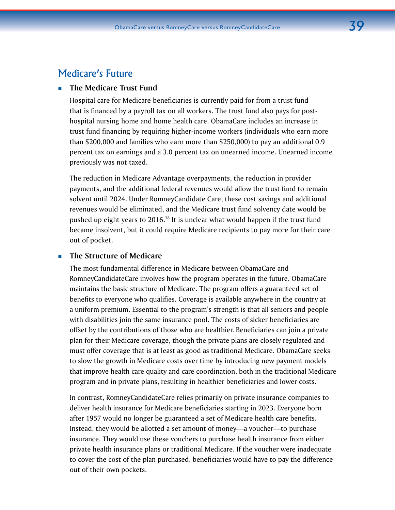# Medicare's Future

## **The Medicare Trust Fund**

Hospital care for Medicare beneficiaries is currently paid for from a trust fund that is financed by a payroll tax on all workers. The trust fund also pays for posthospital nursing home and home health care. ObamaCare includes an increase in trust fund financing by requiring higher-income workers (individuals who earn more than \$200,000 and families who earn more than \$250,000) to pay an additional 0.9 percent tax on earnings and a 3.0 percent tax on unearned income. Unearned income previously was not taxed.

The reduction in Medicare Advantage overpayments, the reduction in provider payments, and the additional federal revenues would allow the trust fund to remain solvent until 2024. Under RomneyCandidate Care, these cost savings and additional revenues would be eliminated, and the Medicare trust fund solvency date would be pushed up eight years to 2016.<sup>38</sup> It is unclear what would happen if the trust fund became insolvent, but it could require Medicare recipients to pay more for their care out of pocket.

### **The Structure of Medicare**

The most fundamental difference in Medicare between ObamaCare and RomneyCandidateCare involves how the program operates in the future. ObamaCare maintains the basic structure of Medicare. The program offers a guaranteed set of benefits to everyone who qualifies. Coverage is available anywhere in the country at a uniform premium. Essential to the program's strength is that all seniors and people with disabilities join the same insurance pool. The costs of sicker beneficiaries are offset by the contributions of those who are healthier. Beneficiaries can join a private plan for their Medicare coverage, though the private plans are closely regulated and must offer coverage that is at least as good as traditional Medicare. ObamaCare seeks to slow the growth in Medicare costs over time by introducing new payment models that improve health care quality and care coordination, both in the traditional Medicare program and in private plans, resulting in healthier beneficiaries and lower costs.

In contrast, RomneyCandidateCare relies primarily on private insurance companies to deliver health insurance for Medicare beneficiaries starting in 2023. Everyone born after 1957 would no longer be guaranteed a set of Medicare health care benefits. Instead, they would be allotted a set amount of money—a voucher—to purchase insurance. They would use these vouchers to purchase health insurance from either private health insurance plans or traditional Medicare. If the voucher were inadequate to cover the cost of the plan purchased, beneficiaries would have to pay the difference out of their own pockets.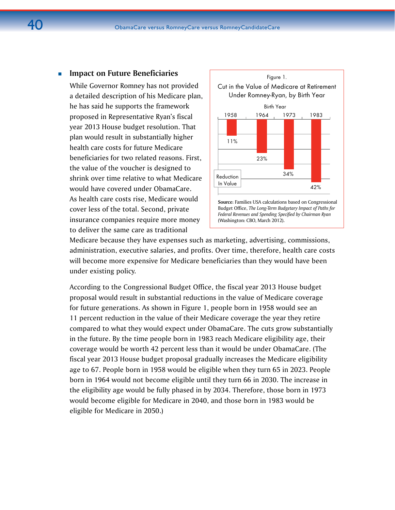### **Impact on Future Beneficiaries**

While Governor Romney has not provided a detailed description of his Medicare plan, he has said he supports the framework proposed in Representative Ryan's fiscal year 2013 House budget resolution. That plan would result in substantially higher health care costs for future Medicare beneficiaries for two related reasons. First, the value of the voucher is designed to shrink over time relative to what Medicare would have covered under ObamaCare. As health care costs rise, Medicare would cover less of the total. Second, private insurance companies require more money to deliver the same care as traditional



Medicare because they have expenses such as marketing, advertising, commissions, administration, executive salaries, and profits. Over time, therefore, health care costs will become more expensive for Medicare beneficiaries than they would have been under existing policy.

According to the Congressional Budget Office, the fiscal year 2013 House budget proposal would result in substantial reductions in the value of Medicare coverage for future generations. As shown in Figure 1, people born in 1958 would see an 11 percent reduction in the value of their Medicare coverage the year they retire compared to what they would expect under ObamaCare. The cuts grow substantially in the future. By the time people born in 1983 reach Medicare eligibility age, their coverage would be worth 42 percent less than it would be under ObamaCare. (The fiscal year 2013 House budget proposal gradually increases the Medicare eligibility age to 67. People born in 1958 would be eligible when they turn 65 in 2023. People born in 1964 would not become eligible until they turn 66 in 2030. The increase in the eligibility age would be fully phased in by 2034. Therefore, those born in 1973 would become eligible for Medicare in 2040, and those born in 1983 would be eligible for Medicare in 2050.)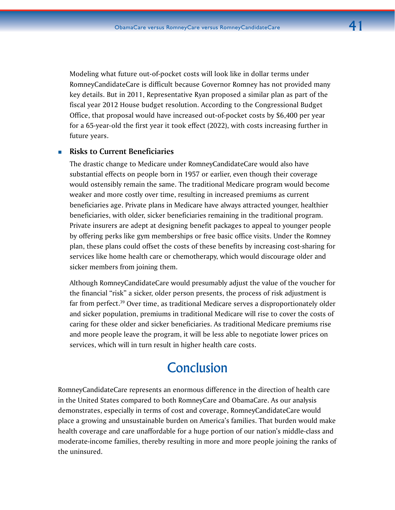Modeling what future out-of-pocket costs will look like in dollar terms under RomneyCandidateCare is difficult because Governor Romney has not provided many key details. But in 2011, Representative Ryan proposed a similar plan as part of the fiscal year 2012 House budget resolution. According to the Congressional Budget Office, that proposal would have increased out-of-pocket costs by \$6,400 per year for a 65-year-old the first year it took effect (2022), with costs increasing further in future years.

### **Risks to Current Beneficiaries**

The drastic change to Medicare under RomneyCandidateCare would also have substantial effects on people born in 1957 or earlier, even though their coverage would ostensibly remain the same. The traditional Medicare program would become weaker and more costly over time, resulting in increased premiums as current beneficiaries age. Private plans in Medicare have always attracted younger, healthier beneficiaries, with older, sicker beneficiaries remaining in the traditional program. Private insurers are adept at designing benefit packages to appeal to younger people by offering perks like gym memberships or free basic office visits. Under the Romney plan, these plans could offset the costs of these benefits by increasing cost-sharing for services like home health care or chemotherapy, which would discourage older and sicker members from joining them.

Although RomneyCandidateCare would presumably adjust the value of the voucher for the financial "risk" a sicker, older person presents, the process of risk adjustment is far from perfect.<sup>39</sup> Over time, as traditional Medicare serves a disproportionately older and sicker population, premiums in traditional Medicare will rise to cover the costs of caring for these older and sicker beneficiaries. As traditional Medicare premiums rise and more people leave the program, it will be less able to negotiate lower prices on services, which will in turn result in higher health care costs.

# **Conclusion**

RomneyCandidateCare represents an enormous difference in the direction of health care in the United States compared to both RomneyCare and ObamaCare. As our analysis demonstrates, especially in terms of cost and coverage, RomneyCandidateCare would place a growing and unsustainable burden on America's families. That burden would make health coverage and care unaffordable for a huge portion of our nation's middle-class and moderate-income families, thereby resulting in more and more people joining the ranks of the uninsured.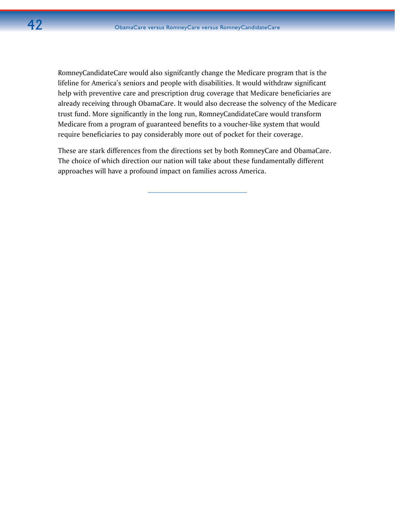RomneyCandidateCare would also signifcantly change the Medicare program that is the lifeline for America's seniors and people with disabilities. It would withdraw significant help with preventive care and prescription drug coverage that Medicare beneficiaries are already receiving through ObamaCare. It would also decrease the solvency of the Medicare trust fund. More significantly in the long run, RomneyCandidateCare would transform Medicare from a program of guaranteed benefits to a voucher-like system that would require beneficiaries to pay considerably more out of pocket for their coverage.

These are stark differences from the directions set by both RomneyCare and ObamaCare. The choice of which direction our nation will take about these fundamentally different approaches will have a profound impact on families across America.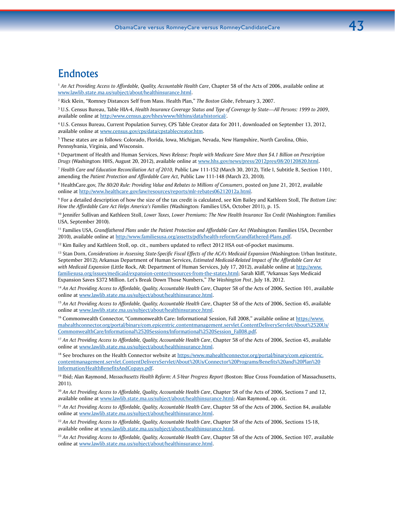# Endnotes

<sup>1</sup> An Act Providing Access to Affordable, Quality, Accountable Health Care, Chapter 58 of the Acts of 2006, available online at [www.lawlib.state.ma.us/subject/about/healthinsurance.html.](www.lawlib.state.ma.us/subject/about/healthinsurance.html)

2 Rick Klein, "Romney Distances Self from Mass. Health Plan," *The Boston Globe*, February 3, 2007.

3 U.S. Census Bureau, Table HIA-4, *Health Insurance Coverage Status and Type of Coverage by State—All Persons: 1999 to 2009*, available online at [http://www.census.gov/hhes/www/hlthins/data/historical/.](http://www.census.gov/hhes/www/hlthins/data/historical/)

4 U.S. Census Bureau, Current Population Survey, CPS Table Creator data for 2011, downloaded on September 13, 2012, available online at<www.census.gov/cps/data/cpstablecreator.htm>.

5 These states are as follows: Colorado, Florida, Iowa, Michigan, Nevada, New Hampshire, North Carolina, Ohio, Pennsylvania, Virginia, and Wisconsin.

6 Department of Health and Human Services, *News Release: People with Medicare Save More than \$4.1 Billion on Prescription Drugs* (Washington: HHS, August 20, 2012), available online at [www.hhs.gov/news/press/2012pres/08/20120820.html.](www.hhs.gov/news/press/2012pres/08/20120820.html)

<sup>7</sup> *Health Care and Education Reconciliation Act of 2010,* Public Law 111-152 (March 30, 2012), Title I, Subtitle B, Section 1101, amending the *Patient Protection and Affordable Care Act,* Public Law 111-148 (March 23, 2010)*.* 

8 HealthCare.gov, *The 80/20 Rule: Providing Value and Rebates to Millions of Consumers*, posted on June 21, 2012, available online at [http://www.healthcare.gov/law/resources/reports/mlr-rebates06212012a.html.](http://www.healthcare.gov/law/resources/reports/mlr-rebates06212012a.html)

9 For a detailed description of how the size of the tax credit is calculated, see Kim Bailey and Kathleen Stoll, *The Bottom Line: How the Affordable Care Act Helps America's Families* (Washington: Families USA, October 2011), p. 15.

<sup>10</sup> Jennifer Sullivan and Kathleen Stoll, *Lower Taxes, Lower Premiums: The New Health Insurance Tax Credit* (Washington: Families USA, September 2010).

11 Families USA, *Grandfathered Plans under the Patient Protection and Affordable Care Act* (Washington: Families USA, December 2010), available online at<http://www.familiesusa.org/assetts/pdfs/health-reform/Grandfathered-Plans.pdf>.

 $12$  Kim Bailey and Kathleen Stoll, op. cit., numbers updated to reflect 2012 HSA out-of-pocket maximums.

<sup>13</sup> Stan Dorn, *Considerations in Assessing State-Specific Fiscal Effects of the ACA's Medicaid Expansion (Washington: Urban Institute,* September 2012); Arkansas Department of Human Services, *Estimated Medicaid-Related Impact of the Affordable Care Act with Medicaid Expansion* (Little Rock, AR: Department of Human Services, July 17, 2012), available online at [http://www.](http://www.familiesusa.org/issues/medicaid/expansion-center/resources-from-the-states.html) [familiesusa.org/issues/medicaid/expansion-center/resources-from-the-states.html;](http://www.familiesusa.org/issues/medicaid/expansion-center/resources-from-the-states.html) Sarah Kliff, "Arkansas Says Medicaid Expansion Saves \$372 Million. Let's Break Down Those Numbers," *The Washington Post*, July 18, 2012.

<sup>14</sup> An Act Providing Access to Affordable, Quality, Accountable Health Care, Chapter 58 of the Acts of 2006, Section 101, available online at [www.lawlib.state.ma.us/subject/about/healthinsurance.html.](www.lawlib.state.ma.us/subject/about/healthinsurance.html)

<sup>15</sup> An Act Providing Access to Affordable, Quality, Accountable Health Care, Chapter 58 of the Acts of 2006, Section 45, available online at [www.lawlib.state.ma.us/subject/about/healthinsurance.html.](www.lawlib.state.ma.us/subject/about/healthinsurance.html)

16 Commonwealth Connector, "Commonwealth Care: Informational Session, Fall 2008," available online at [https://www.](https://www.mahealthconnector.org/portal/binary/com.epicentric.contentmanagement.servlet.ContentDeliveryServlet/About%2520Us/CommonwealthCare/Informational%2520Sessions/Informational%2520Session_Fall08.pdf) [mahealthconnector.org/portal/binary/com.epicentric.contentmanagement.servlet.ContentDeliveryServlet/About%2520Us/](https://www.mahealthconnector.org/portal/binary/com.epicentric.contentmanagement.servlet.ContentDeliveryServlet/About%2520Us/CommonwealthCare/Informational%2520Sessions/Informational%2520Session_Fall08.pdf) [CommonwealthCare/Informational%2520Sessions/Informational%2520Session\\_Fall08.pdf](https://www.mahealthconnector.org/portal/binary/com.epicentric.contentmanagement.servlet.ContentDeliveryServlet/About%2520Us/CommonwealthCare/Informational%2520Sessions/Informational%2520Session_Fall08.pdf).

<sup>17</sup> *An Act Providing Access to Affordable, Quality, Accountable Health Care*, Chapter 58 of the Acts of 2006, Section 45, available online at [www.lawlib.state.ma.us/subject/about/healthinsurance.html.](www.lawlib.state.ma.us/subject/about/healthinsurance.html)

<sup>18</sup> See brochures on the Health Connector website at [https://www.mahealthconnector.org/portal/binary/com.epicentric.](https://www.mahealthconnector.org/portal/binary/com.epicentric.contentmanagement.servlet.ContentDeliveryServlet/About%20Us/Connector%20Programs/Benefits%20and%20Plan%20Information/HealthBenefitsAndCopays.pdf) [contentmanagement.servlet.ContentDeliveryServlet/About%20Us/Connector%20Programs/Benefits%20and%20Plan%20](https://www.mahealthconnector.org/portal/binary/com.epicentric.contentmanagement.servlet.ContentDeliveryServlet/About%20Us/Connector%20Programs/Benefits%20and%20Plan%20Information/HealthBenefitsAndCopays.pdf) [Information/HealthBenefitsAndCopays.pdf](https://www.mahealthconnector.org/portal/binary/com.epicentric.contentmanagement.servlet.ContentDeliveryServlet/About%20Us/Connector%20Programs/Benefits%20and%20Plan%20Information/HealthBenefitsAndCopays.pdf).

19 Ibid; Alan Raymond, *Massachusetts Health Reform: A 5-Year Progress Report* (Boston: Blue Cross Foundation of Massachusetts, 2011).

<sup>20</sup> An Act Providing Access to Affordable, Quality, Accountable Health Care, Chapter 58 of the Acts of 2006, Sections 7 and 12, available online at [www.lawlib.state.ma.us/subject/about/healthinsurance.html;](www.lawlib.state.ma.us/subject/about/healthinsurance.html) Alan Raymond, op. cit.

<sup>21</sup> *An Act Providing Access to Affordable, Quality, Accountable Health Care*, Chapter 58 of the Acts of 2006, Section 84, available online at [www.lawlib.state.ma.us/subject/about/healthinsurance.html.](www.lawlib.state.ma.us/subject/about/healthinsurance.html)

<sup>22</sup> An Act Providing Access to Affordable, Quality, Accountable Health Care, Chapter 58 of the Acts of 2006, Sections 15-18, available online at [www.lawlib.state.ma.us/subject/about/healthinsurance.html.](www.lawlib.state.ma.us/subject/about/healthinsurance.html)

<sup>23</sup> An Act Providing Access to Affordable, Quality, Accountable Health Care, Chapter 58 of the Acts of 2006, Section 107, available online at [www.lawlib.state.ma.us/subject/about/healthinsurance.html.](www.lawlib.state.ma.us/subject/about/healthinsurance.html)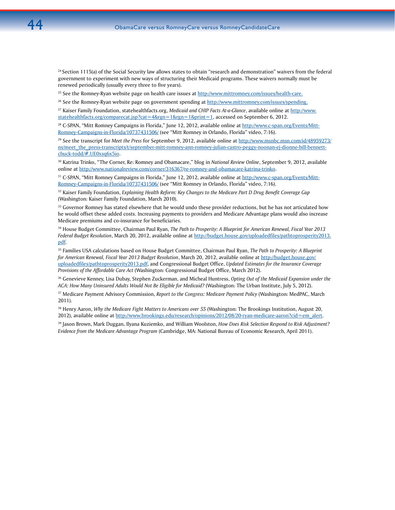$24$  Section 1115(a) of the Social Security law allows states to obtain ["research and demonstration" waivers](http://www.medicaid.gov/Medicaid-CHIP-Program-Information/By-Topics/Waivers/1115/Section-1115-Demonstration.html) from the federal government to experiment with new ways of structuring their Medicaid programs. These waivers normally must be renewed periodically (usually every three to five years).

 $25$  See the Romney-Ryan website page on health care issues at <http://www.mittromney.com/issues/health-care>.

 $26$  See the Romney-Ryan website page on government spending at<http://www.mittromney.com/issues/spending>.

27 Kaiser Family Foundation, statehealthfacts.org, *Medicaid and CHIP Facts At-a-Glance*, available online at [http://www.](http://www.statehealthfacts.org/comparecat.jsp?cat=4&rgn=1&rgn=1&print=1) [statehealthfacts.org/comparecat.jsp?cat=4&rgn=1&rgn=1&print=1](http://www.statehealthfacts.org/comparecat.jsp?cat=4&rgn=1&rgn=1&print=1), accessed on September 6, 2012.

<sup>28</sup> C-SPAN, "Mitt Romney Campaigns in Florida," June 12, 2012, available online at [http://www.c-span.org/Events/Mitt-](http://www.c-span.org/Events/Mitt-Romney-Campaigns-in-Florida/10737431506/)[Romney-Campaigns-in-Florida/10737431506/](http://www.c-span.org/Events/Mitt-Romney-Campaigns-in-Florida/10737431506/) (see "Mitt Romney in Orlando, Florida" video, 7:16).

29 See the transcript for *Meet the Press* for September 9, 2012, available online at http://www.msnbc.msn.com/id/48959273/ ns/meet\_the\_press-transcripts/t/september-mitt-romney-ann-romney-julian-castro-peggy-noonan-ej-dionne-bill-bennettchuck-todd/#.UE0xsq6x5io.

30 Katrina Trinko, "The Corner, Re: Romney and Obamacare," blog in *National Review Online*, September 9, 2012, available online at [http://www.nationalreview.com/corner/316367](http://www.nationalreview.com/corner/316367/re-romney-and-obamacare-katrina-trinko)*/*re-romney-and-obamacare-katrina-trinko.

<sup>31</sup> C-SPAN, "Mitt Romney Campaigns in Florida," June 12, 2012, available online at [http://www.c-span.org/Events/Mitt-](http://www.c-span.org/Events/Mitt-Romney-Campaigns-in-Florida/10737431506/)[Romney-Campaigns-in-Florida/10737431506/](http://www.c-span.org/Events/Mitt-Romney-Campaigns-in-Florida/10737431506/) (see "Mitt Romney in Orlando, Florida" video, 7:16).

32 Kaiser Family Foundation, *Explaining Health Reform: Key Changes to the Medicare Part D Drug Benefit Coverage Gap* (Washington: Kaiser Family Foundation, March 2010).

 $33$  Governor Romney has stated elsewhere that he would undo these provider reductions, but he has not articulated how he would offset these added costs. Increasing payments to providers and Medicare Advantage plans would also increase Medicare premiums and co-insurance for beneficiaries.

34 House Budget Committee, Chairman Paul Ryan, *The Path to Prosperity: A Blueprint for American Renewal, Fiscal Year 2013 Federal Budget Resolution*, March 20, 2012, available online at [http://budget.house.gov/uploadedfiles/pathtoprosperity2013.](http://budget.house.gov/uploadedfiles/pathtoprosperity2013.pdf) [pdf](http://budget.house.gov/uploadedfiles/pathtoprosperity2013.pdf).

35 Families USA calculations based on House Budget Committee, Chairman Paul Ryan, *The Path to Prosperity: A Blueprint for American Renewal, Fiscal Year 2013 Budget Resolution*, March 20, 2012, available online at [http://budget.house.gov/](http://budget.house.gov/uploadedfiles/pathtoprosperity2013.pdf) [uploadedfiles/pathtoprosperity2013.pdf](http://budget.house.gov/uploadedfiles/pathtoprosperity2013.pdf), and Congressional Budget Office, *Updated Estimates for the Insurance Coverage Provisions of the Affordable Care Act* (Washington: Congressional Budget Office, March 2012).

36 Genevieve Kenney, Lisa Dubay, Stephen Zuckerman, and Micheal Huntress, *Opting Out of the Medicaid Expansion under the ACA: How Many Uninsured Adults Would Not Be Eligible for Medicaid?* (Washington: The Urban Institute, July 5, 2012).

37 Medicare Payment Advisory Commission, *Report to the Congress: Medicare Payment Policy* (Washington: MedPAC, March 2011).

38 Henry Aaron, *Why the Medicare Fight Matters to Americans over 55* (Washington: The Brookings Institution, August 20, 2012), available online at [http://www.brookings.edu/research/opinions/2012/08/20-ryan-medicare-aaron?cid=em\\_alert.](http://www.brookings.edu/research/opinions/2012/08/20-ryan-medicare-aaron?cid=em_alert)

39 Jason Brown, Mark Duggan, Ilyana Kuziemko, and William Woolston, *How Does Risk Selection Respond to Risk Adjustment? Evidence from the Medicare Advantage Program* (Cambridge, MA: National Bureau of Economic Research, April 2011).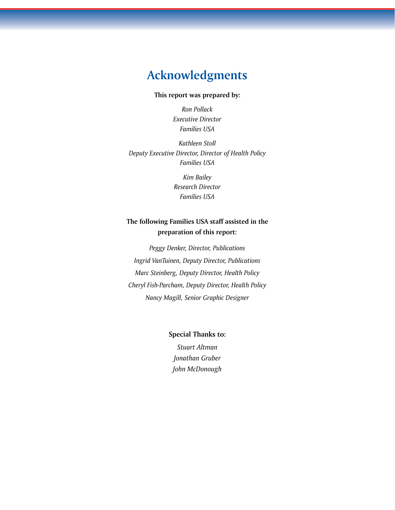# **Acknowledgments**

### **This report was prepared by:**

*Ron Pollack Executive Director Families USA*

*Kathleen Stoll Deputy Executive Director, Director of Health Policy Families USA*

> *Kim Bailey Research Director Families USA*

# **The following Families USA staff assisted in the preparation of this report:**

*Peggy Denker, Director, Publications Ingrid VanTuinen, Deputy Director, Publications Marc Steinberg, Deputy Director, Health Policy Cheryl Fish-Parcham, Deputy Director, Health Policy Nancy Magill, Senior Graphic Designer*

**Special Thanks to:** 

*Stuart Altman Jonathan Gruber John McDonough*